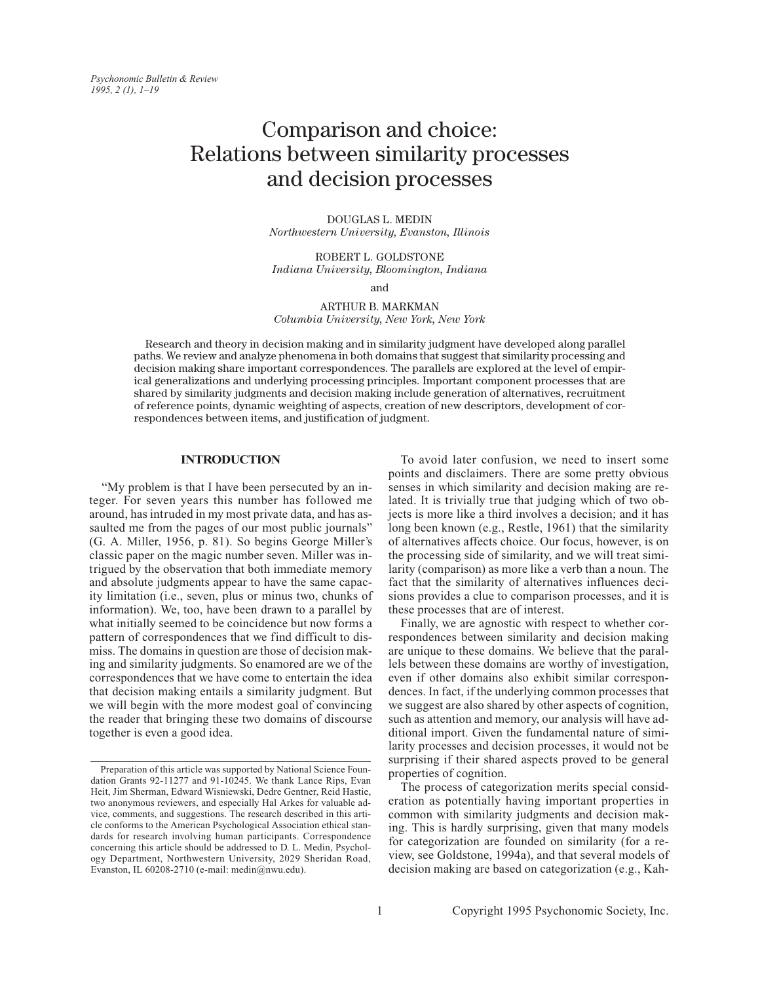# Comparison and choice: Relations between similarity processes and decision processes

DOUGLAS L. MEDIN *Northwestern University, Evanston, Illinois*

ROBERT L. GOLDSTONE *Indiana University, Bloomington, Indiana*

and

ARTHUR B. MARKMAN *Columbia University, New York, New York*

Research and theory in decision making and in similarity judgment have developed along parallel paths. We review and analyze phenomena in both domains that suggest that similarity processing and decision making share important correspondences. The parallels are explored at the level of empirical generalizations and underlying processing principles. Important component processes that are shared by similarity judgments and decision making include generation of alternatives, recruitment of reference points, dynamic weighting of aspects, creation of new descriptors, development of correspondences between items, and justification of judgment.

# **INTRODUCTION**

"My problem is that I have been persecuted by an integer. For seven years this number has followed me around, has intruded in my most private data, and has assaulted me from the pages of our most public journals" (G. A. Miller, 1956, p. 81). So begins George Miller's classic paper on the magic number seven. Miller was intrigued by the observation that both immediate memory and absolute judgments appear to have the same capacity limitation (i.e., seven, plus or minus two, chunks of information). We, too, have been drawn to a parallel by what initially seemed to be coincidence but now forms a pattern of correspondences that we find difficult to dismiss. The domains in question are those of decision making and similarity judgments. So enamored are we of the correspondences that we have come to entertain the idea that decision making entails a similarity judgment. But we will begin with the more modest goal of convincing the reader that bringing these two domains of discourse together is even a good idea.

To avoid later confusion, we need to insert some points and disclaimers. There are some pretty obvious senses in which similarity and decision making are related. It is trivially true that judging which of two objects is more like a third involves a decision; and it has long been known (e.g., Restle, 1961) that the similarity of alternatives affects choice. Our focus, however, is on the processing side of similarity, and we will treat similarity (comparison) as more like a verb than a noun. The fact that the similarity of alternatives influences decisions provides a clue to comparison processes, and it is these processes that are of interest.

Finally, we are agnostic with respect to whether correspondences between similarity and decision making are unique to these domains. We believe that the parallels between these domains are worthy of investigation, even if other domains also exhibit similar correspondences. In fact, if the underlying common processes that we suggest are also shared by other aspects of cognition, such as attention and memory, our analysis will have additional import. Given the fundamental nature of similarity processes and decision processes, it would not be surprising if their shared aspects proved to be general properties of cognition.

The process of categorization merits special consideration as potentially having important properties in common with similarity judgments and decision making. This is hardly surprising, given that many models for categorization are founded on similarity (for a review, see Goldstone, 1994a), and that several models of decision making are based on categorization (e.g., Kah-

Preparation of this article was supported by National Science Foundation Grants 92-11277 and 91-10245. We thank Lance Rips, Evan Heit, Jim Sherman, Edward Wisniewski, Dedre Gentner, Reid Hastie, two anonymous reviewers, and especially Hal Arkes for valuable advice, comments, and suggestions. The research described in this article conforms to the American Psychological Association ethical standards for research involving human participants. Correspondence concerning this article should be addressed to D. L. Medin, Psychology Department, Northwestern University, 2029 Sheridan Road, Evanston, IL 60208-2710 (e-mail: medin@nwu.edu).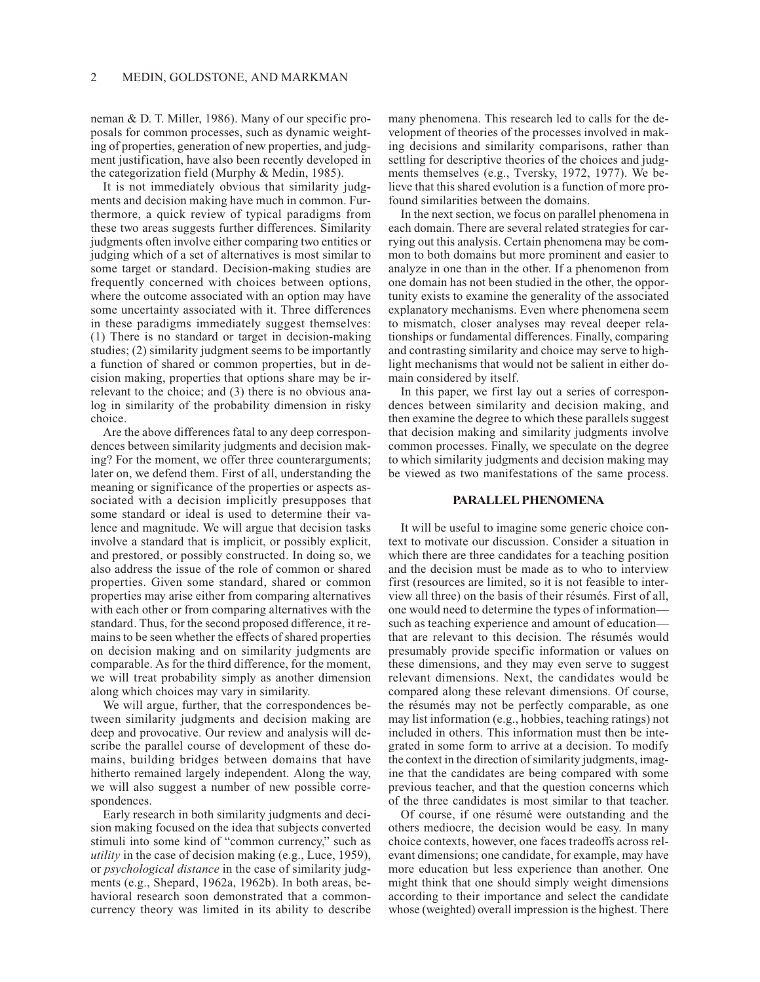neman & D. T. Miller, 1986). Many of our specific proposals for common processes, such as dynamic weighting of properties, generation of new properties, and judgment justification, have also been recently developed in the categorization field (Murphy & Medin, 1985).

It is not immediately obvious that similarity judgments and decision making have much in common. Furthermore, a quick review of typical paradigms from these two areas suggests further differences. Similarity judgments often involve either comparing two entities or judging which of a set of alternatives is most similar to some target or standard. Decision-making studies are frequently concerned with choices between options, where the outcome associated with an option may have some uncertainty associated with it. Three differences in these paradigms immediately suggest themselves: (1) There is no standard or target in decision-making studies; (2) similarity judgment seems to be importantly a function of shared or common properties, but in decision making, properties that options share may be irrelevant to the choice; and (3) there is no obvious analog in similarity of the probability dimension in risky choice.

Are the above differences fatal to any deep correspondences between similarity judgments and decision making? For the moment, we offer three counterarguments; later on, we defend them. First of all, understanding the meaning or significance of the properties or aspects associated with a decision implicitly presupposes that some standard or ideal is used to determine their valence and magnitude. We will argue that decision tasks involve a standard that is implicit, or possibly explicit, and prestored, or possibly constructed. In doing so, we also address the issue of the role of common or shared properties. Given some standard, shared or common properties may arise either from comparing alternatives with each other or from comparing alternatives with the standard. Thus, for the second proposed difference, it remains to be seen whether the effects of shared properties on decision making and on similarity judgments are comparable. As for the third difference, for the moment, we will treat probability simply as another dimension along which choices may vary in similarity.

We will argue, further, that the correspondences between similarity judgments and decision making are deep and provocative. Our review and analysis will describe the parallel course of development of these domains, building bridges between domains that have hitherto remained largely independent. Along the way, we will also suggest a number of new possible correspondences.

Early research in both similarity judgments and decision making focused on the idea that subjects converted stimuli into some kind of "common currency," such as *utility* in the case of decision making (e.g., Luce, 1959), or *psychological distance* in the case of similarity judgments (e.g., Shepard, 1962a, 1962b). In both areas, behavioral research soon demonstrated that a commoncurrency theory was limited in its ability to describe many phenomena. This research led to calls for the development of theories of the processes involved in making decisions and similarity comparisons, rather than settling for descriptive theories of the choices and judgments themselves (e.g., Tversky, 1972, 1977). We believe that this shared evolution is a function of more profound similarities between the domains.

In the next section, we focus on parallel phenomena in each domain. There are several related strategies for carrying out this analysis. Certain phenomena may be common to both domains but more prominent and easier to analyze in one than in the other. If a phenomenon from one domain has not been studied in the other, the opportunity exists to examine the generality of the associated explanatory mechanisms. Even where phenomena seem to mismatch, closer analyses may reveal deeper relationships or fundamental differences. Finally, comparing and contrasting similarity and choice may serve to highlight mechanisms that would not be salient in either domain considered by itself.

In this paper, we first lay out a series of correspondences between similarity and decision making, and then examine the degree to which these parallels suggest that decision making and similarity judgments involve common processes. Finally, we speculate on the degree to which similarity judgments and decision making may be viewed as two manifestations of the same process.

# **PARALLEL PHENOMENA**

It will be useful to imagine some generic choice context to motivate our discussion. Consider a situation in which there are three candidates for a teaching position and the decision must be made as to who to interview first (resources are limited, so it is not feasible to interview all three) on the basis of their résumés. First of all, one would need to determine the types of information such as teaching experience and amount of education that are relevant to this decision. The résumés would presumably provide specific information or values on these dimensions, and they may even serve to suggest relevant dimensions. Next, the candidates would be compared along these relevant dimensions. Of course, the résumés may not be perfectly comparable, as one may list information (e.g., hobbies, teaching ratings) not included in others. This information must then be integrated in some form to arrive at a decision. To modify the context in the direction of similarity judgments, imagine that the candidates are being compared with some previous teacher, and that the question concerns which of the three candidates is most similar to that teacher.

Of course, if one résumé were outstanding and the others mediocre, the decision would be easy. In many choice contexts, however, one faces tradeoffs across relevant dimensions; one candidate, for example, may have more education but less experience than another. One might think that one should simply weight dimensions according to their importance and select the candidate whose (weighted) overall impression is the highest. There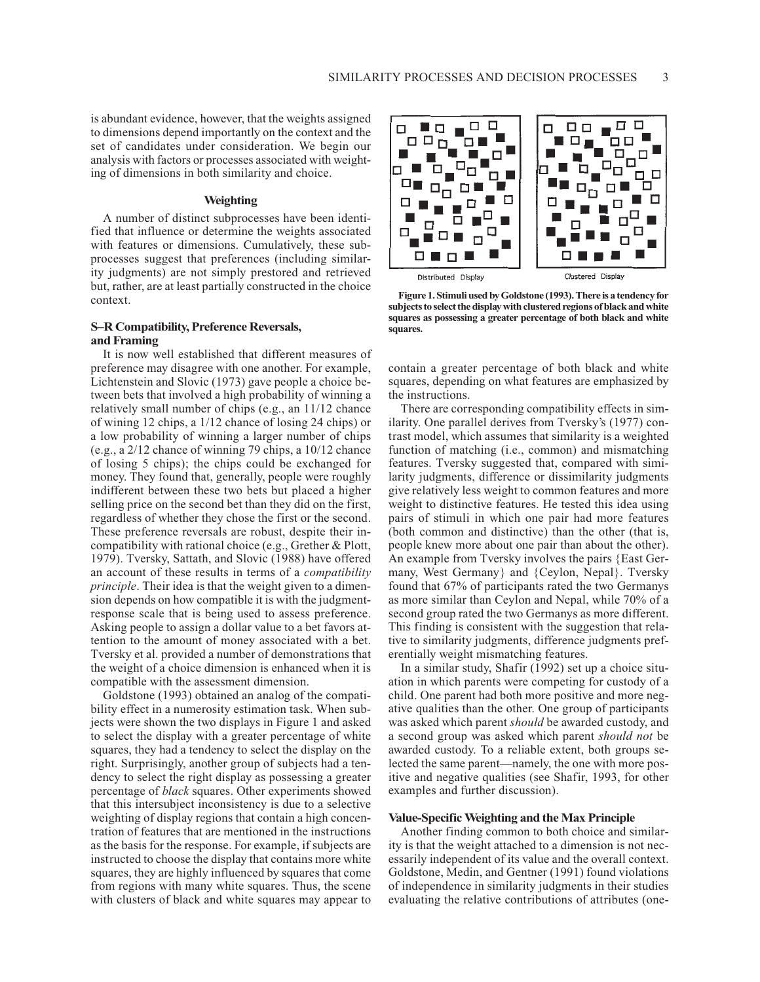is abundant evidence, however, that the weights assigned to dimensions depend importantly on the context and the set of candidates under consideration. We begin our analysis with factors or processes associated with weighting of dimensions in both similarity and choice.

#### **Weighting**

A number of distinct subprocesses have been identified that influence or determine the weights associated with features or dimensions. Cumulatively, these subprocesses suggest that preferences (including similarity judgments) are not simply prestored and retrieved but, rather, are at least partially constructed in the choice context.

# **S–R Compatibility, Preference Reversals, and Framing**

It is now well established that different measures of preference may disagree with one another. For example, Lichtenstein and Slovic (1973) gave people a choice between bets that involved a high probability of winning a relatively small number of chips (e.g., an 11/12 chance of wining 12 chips, a 1/12 chance of losing 24 chips) or a low probability of winning a larger number of chips (e.g., a 2/12 chance of winning 79 chips, a 10/12 chance of losing 5 chips); the chips could be exchanged for money. They found that, generally, people were roughly indifferent between these two bets but placed a higher selling price on the second bet than they did on the first, regardless of whether they chose the first or the second. These preference reversals are robust, despite their incompatibility with rational choice (e.g., Grether & Plott, 1979). Tversky, Sattath, and Slovic (1988) have offered an account of these results in terms of a *compatibility principle*. Their idea is that the weight given to a dimension depends on how compatible it is with the judgmentresponse scale that is being used to assess preference. Asking people to assign a dollar value to a bet favors attention to the amount of money associated with a bet. Tversky et al. provided a number of demonstrations that the weight of a choice dimension is enhanced when it is compatible with the assessment dimension.

Goldstone (1993) obtained an analog of the compatibility effect in a numerosity estimation task. When subjects were shown the two displays in Figure 1 and asked to select the display with a greater percentage of white squares, they had a tendency to select the display on the right. Surprisingly, another group of subjects had a tendency to select the right display as possessing a greater percentage of *black* squares. Other experiments showed that this intersubject inconsistency is due to a selective weighting of display regions that contain a high concentration of features that are mentioned in the instructions as the basis for the response. For example, if subjects are instructed to choose the display that contains more white squares, they are highly influenced by squares that come from regions with many white squares. Thus, the scene with clusters of black and white squares may appear to



**Figure 1. Stimuli used by Goldstone (1993). There is a tendency for subjects to select the display with clustered regions of black and white squares as possessing a greater percentage of both black and white squares.**

contain a greater percentage of both black and white squares, depending on what features are emphasized by the instructions.

There are corresponding compatibility effects in similarity. One parallel derives from Tversky's (1977) contrast model, which assumes that similarity is a weighted function of matching (i.e., common) and mismatching features. Tversky suggested that, compared with similarity judgments, difference or dissimilarity judgments give relatively less weight to common features and more weight to distinctive features. He tested this idea using pairs of stimuli in which one pair had more features (both common and distinctive) than the other (that is, people knew more about one pair than about the other). An example from Tversky involves the pairs {East Germany, West Germany} and {Ceylon, Nepal}. Tversky found that 67% of participants rated the two Germanys as more similar than Ceylon and Nepal, while 70% of a second group rated the two Germanys as more different. This finding is consistent with the suggestion that relative to similarity judgments, difference judgments preferentially weight mismatching features.

In a similar study, Shafir (1992) set up a choice situation in which parents were competing for custody of a child. One parent had both more positive and more negative qualities than the other. One group of participants was asked which parent *should* be awarded custody, and a second group was asked which parent *should not* be awarded custody. To a reliable extent, both groups selected the same parent—namely, the one with more positive and negative qualities (see Shafir, 1993, for other examples and further discussion).

# **Value-Specific Weighting and the Max Principle**

Another finding common to both choice and similarity is that the weight attached to a dimension is not necessarily independent of its value and the overall context. Goldstone, Medin, and Gentner (1991) found violations of independence in similarity judgments in their studies evaluating the relative contributions of attributes (one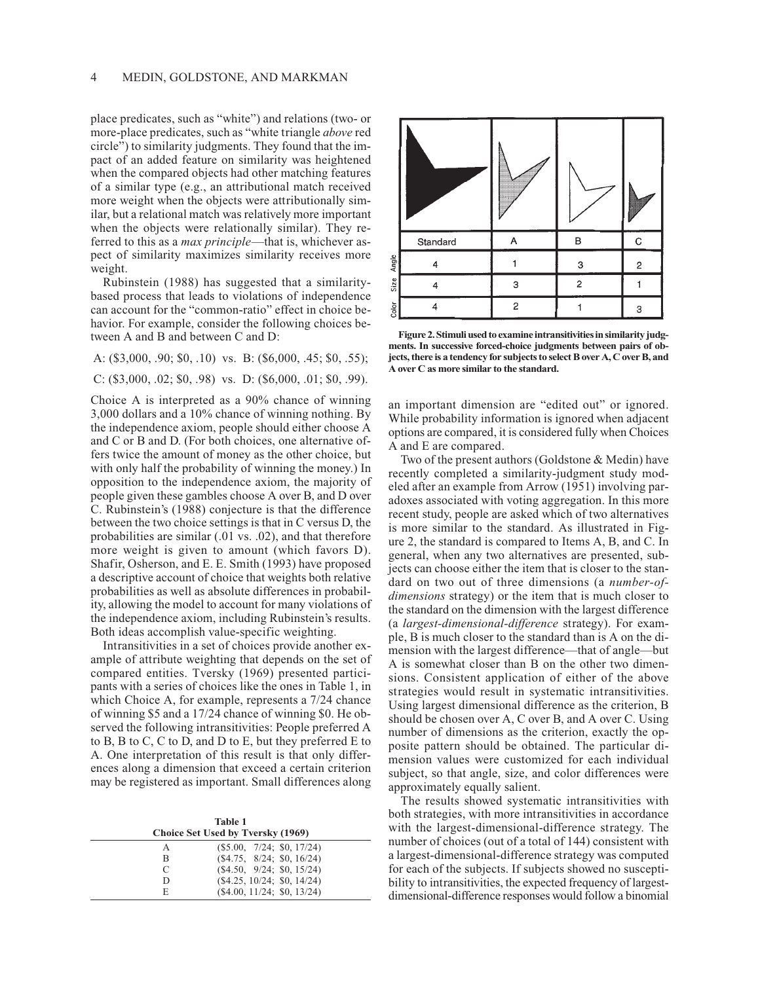place predicates, such as "white") and relations (two- or more-place predicates, such as "white triangle *above* red circle") to similarity judgments. They found that the impact of an added feature on similarity was heightened when the compared objects had other matching features of a similar type (e.g., an attributional match received more weight when the objects were attributionally similar, but a relational match was relatively more important when the objects were relationally similar). They referred to this as a *max principle*—that is, whichever aspect of similarity maximizes similarity receives more weight.

Rubinstein (1988) has suggested that a similaritybased process that leads to violations of independence can account for the "common-ratio" effect in choice behavior. For example, consider the following choices between A and B and between C and D:

A: (\$3,000, .90; \$0, .10) vs. B: (\$6,000, .45; \$0, .55);

C:  $(\$3,000, .02; \$0, .98)$  vs. D:  $(\$6,000, .01; \$0, .99)$ .

Choice A is interpreted as a 90% chance of winning 3,000 dollars and a 10% chance of winning nothing. By the independence axiom, people should either choose A and C or B and D. (For both choices, one alternative offers twice the amount of money as the other choice, but with only half the probability of winning the money.) In opposition to the independence axiom, the majority of people given these gambles choose A over B, and D over C. Rubinstein's (1988) conjecture is that the difference between the two choice settings is that in C versus D, the probabilities are similar (.01 vs. .02), and that therefore more weight is given to amount (which favors D). Shafir, Osherson, and E. E. Smith (1993) have proposed a descriptive account of choice that weights both relative probabilities as well as absolute differences in probability, allowing the model to account for many violations of the independence axiom, including Rubinstein's results. Both ideas accomplish value-specific weighting.

Intransitivities in a set of choices provide another example of attribute weighting that depends on the set of compared entities. Tversky (1969) presented participants with a series of choices like the ones in Table 1, in which Choice A, for example, represents a 7/24 chance of winning \$5 and a 17/24 chance of winning \$0. He observed the following intransitivities: People preferred A to B, B to C, C to D, and D to E, but they preferred E to A. One interpretation of this result is that only differences along a dimension that exceed a certain criterion may be registered as important. Small differences along

**Table 1 Choice Set Used by Tversky (1969)**

| Choice Set Used by Tversky (1969) |                               |  |  |
|-----------------------------------|-------------------------------|--|--|
| А                                 | (S5.00, 7/24; S0, 17/24)      |  |  |
| В                                 | (S4.75, 8/24; \$0, 16/24)     |  |  |
|                                   | (S4.50, 9/24; S0, 15/24)      |  |  |
| D                                 | (S4.25, 10/24; S0, 14/24)     |  |  |
| E                                 | $(\$4.00, 11/24; \$0, 13/24)$ |  |  |

|       | Standard | A | B                | $\mathbf C$ |
|-------|----------|---|------------------|-------------|
| Angle | 4        |   | 3                | $\mathbf 2$ |
| Size  | 4        | 3 | $\boldsymbol{2}$ |             |
| Color |          | 2 |                  | 3           |

**Figure 2. Stimuli used to examine intransitivities in similarity judgments. In successive forced-choice judgments between pairs of objects, there is a tendency for subjects to select B over A, C over B, and A over C as more similar to the standard.**

an important dimension are "edited out" or ignored. While probability information is ignored when adjacent options are compared, it is considered fully when Choices A and E are compared.

Two of the present authors (Goldstone & Medin) have recently completed a similarity-judgment study modeled after an example from Arrow (1951) involving paradoxes associated with voting aggregation. In this more recent study, people are asked which of two alternatives is more similar to the standard. As illustrated in Figure 2, the standard is compared to Items A, B, and C. In general, when any two alternatives are presented, subjects can choose either the item that is closer to the standard on two out of three dimensions (a *number-ofdimensions* strategy) or the item that is much closer to the standard on the dimension with the largest difference (a *largest-dimensional-difference* strategy). For example, B is much closer to the standard than is A on the dimension with the largest difference—that of angle—but A is somewhat closer than B on the other two dimensions. Consistent application of either of the above strategies would result in systematic intransitivities. Using largest dimensional difference as the criterion, B should be chosen over A, C over B, and A over C. Using number of dimensions as the criterion, exactly the opposite pattern should be obtained. The particular dimension values were customized for each individual subject, so that angle, size, and color differences were approximately equally salient.

The results showed systematic intransitivities with both strategies, with more intransitivities in accordance with the largest-dimensional-difference strategy. The number of choices (out of a total of 144) consistent with a largest-dimensional-difference strategy was computed for each of the subjects. If subjects showed no susceptibility to intransitivities, the expected frequency of largestdimensional-difference responses would follow a binomial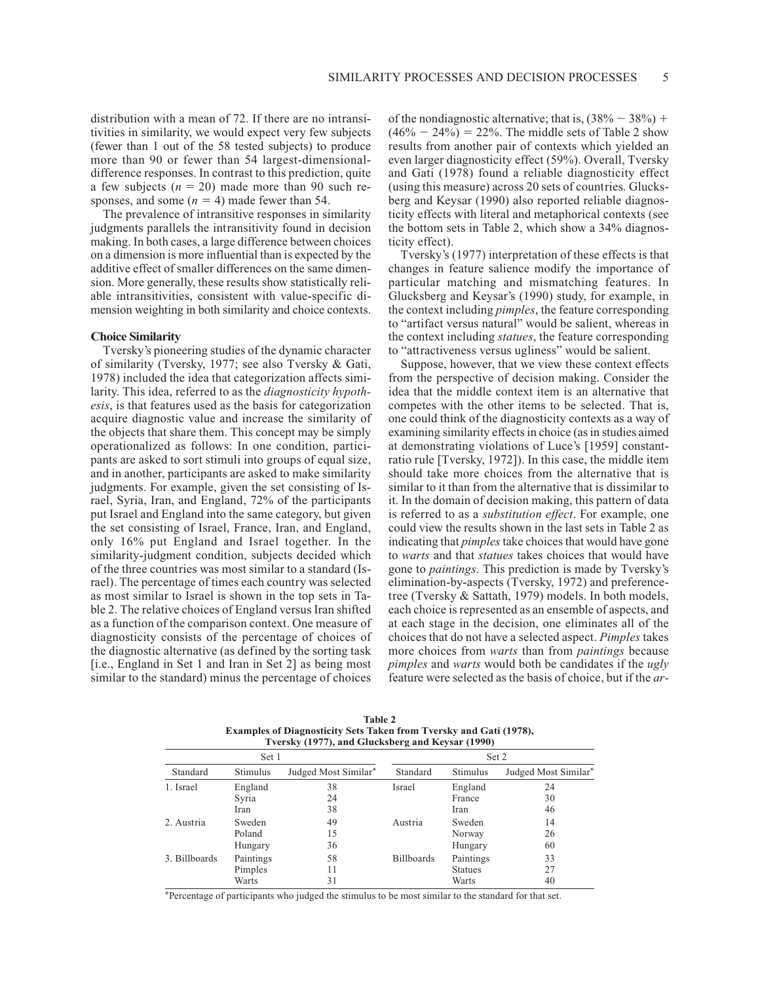distribution with a mean of 72. If there are no intransitivities in similarity, we would expect very few subjects (fewer than 1 out of the 58 tested subjects) to produce more than 90 or fewer than 54 largest-dimensionaldifference responses. In contrast to this prediction, quite a few subjects  $(n = 20)$  made more than 90 such responses, and some  $(n = 4)$  made fewer than 54.

The prevalence of intransitive responses in similarity judgments parallels the intransitivity found in decision making. In both cases, a large difference between choices on a dimension is more influential than is expected by the additive effect of smaller differences on the same dimension. More generally, these results show statistically reliable intransitivities, consistent with value-specific dimension weighting in both similarity and choice contexts.

## **Choice Similarity**

Tversky's pioneering studies of the dynamic character of similarity (Tversky, 1977; see also Tversky & Gati, 1978) included the idea that categorization affects similarity. This idea, referred to as the *diagnosticity hypothesis*, is that features used as the basis for categorization acquire diagnostic value and increase the similarity of the objects that share them. This concept may be simply operationalized as follows: In one condition, participants are asked to sort stimuli into groups of equal size, and in another, participants are asked to make similarity judgments. For example, given the set consisting of Israel, Syria, Iran, and England, 72% of the participants put Israel and England into the same category, but given the set consisting of Israel, France, Iran, and England, only 16% put England and Israel together. In the similarity-judgment condition, subjects decided which of the three countries was most similar to a standard (Israel). The percentage of times each country was selected as most similar to Israel is shown in the top sets in Table 2. The relative choices of England versus Iran shifted as a function of the comparison context. One measure of diagnosticity consists of the percentage of choices of the diagnostic alternative (as defined by the sorting task [i.e., England in Set 1 and Iran in Set 2] as being most similar to the standard) minus the percentage of choices

of the nondiagnostic alternative; that is,  $(38\% - 38\%) +$  $(46\% - 24\%) = 22\%$ . The middle sets of Table 2 show results from another pair of contexts which yielded an even larger diagnosticity effect (59%). Overall, Tversky and Gati (1978) found a reliable diagnosticity effect (using this measure) across 20 sets of countries. Glucksberg and Keysar (1990) also reported reliable diagnosticity effects with literal and metaphorical contexts (see the bottom sets in Table 2, which show a 34% diagnosticity effect).

Tversky's (1977) interpretation of these effects is that changes in feature salience modify the importance of particular matching and mismatching features. In Glucksberg and Keysar's (1990) study, for example, in the context including *pimples*, the feature corresponding to "artifact versus natural" would be salient, whereas in the context including *statues*, the feature corresponding to "attractiveness versus ugliness" would be salient.

Suppose, however, that we view these context effects from the perspective of decision making. Consider the idea that the middle context item is an alternative that competes with the other items to be selected. That is, one could think of the diagnosticity contexts as a way of examining similarity effects in choice (as in studies aimed at demonstrating violations of Luce's [1959] constantratio rule [Tversky, 1972]). In this case, the middle item should take more choices from the alternative that is similar to it than from the alternative that is dissimilar to it. In the domain of decision making, this pattern of data is referred to as a *substitution effect*. For example, one could view the results shown in the last sets in Table 2 as indicating that *pimples* take choices that would have gone to *warts* and that *statues* takes choices that would have gone to *paintings*. This prediction is made by Tversky's elimination-by-aspects (Tversky, 1972) and preferencetree (Tversky & Sattath, 1979) models. In both models, each choice is represented as an ensemble of aspects, and at each stage in the decision, one eliminates all of the choices that do not have a selected aspect. *Pimples* takes more choices from *warts* than from *paintings* because *pimples* and *warts* would both be candidates if the *ugly* feature were selected as the basis of choice, but if the *ar-*

**Table 2 Examples of Diagnosticity Sets Taken from Tversky and Gati (1978), Tversky (1977), and Glucksberg and Keysar (1990)**

| Set 1         |           |                      | Set 2             |                |                      |
|---------------|-----------|----------------------|-------------------|----------------|----------------------|
| Standard      | Stimulus  | Judged Most Similar* | Standard          | Stimulus       | Judged Most Similar* |
| 1. Israel     | England   | 38                   | Israel            | England        | 24                   |
|               | Syria     | 24                   |                   | France         | 30                   |
|               | Iran      | 38                   |                   | Iran           | 46                   |
| 2. Austria    | Sweden    | 49                   | Austria           | Sweden         | 14                   |
|               | Poland    | 15                   |                   | Norway         | 26                   |
|               | Hungary   | 36                   |                   | Hungary        | 60                   |
| 3. Billboards | Paintings | 58                   | <b>Billboards</b> | Paintings      | 33                   |
|               | Pimples   | 11                   |                   | <b>Statues</b> | 27                   |
|               | Warts     | 31                   |                   | Warts          | 40                   |

\*Percentage of participants who judged the stimulus to be most similar to the standard for that set.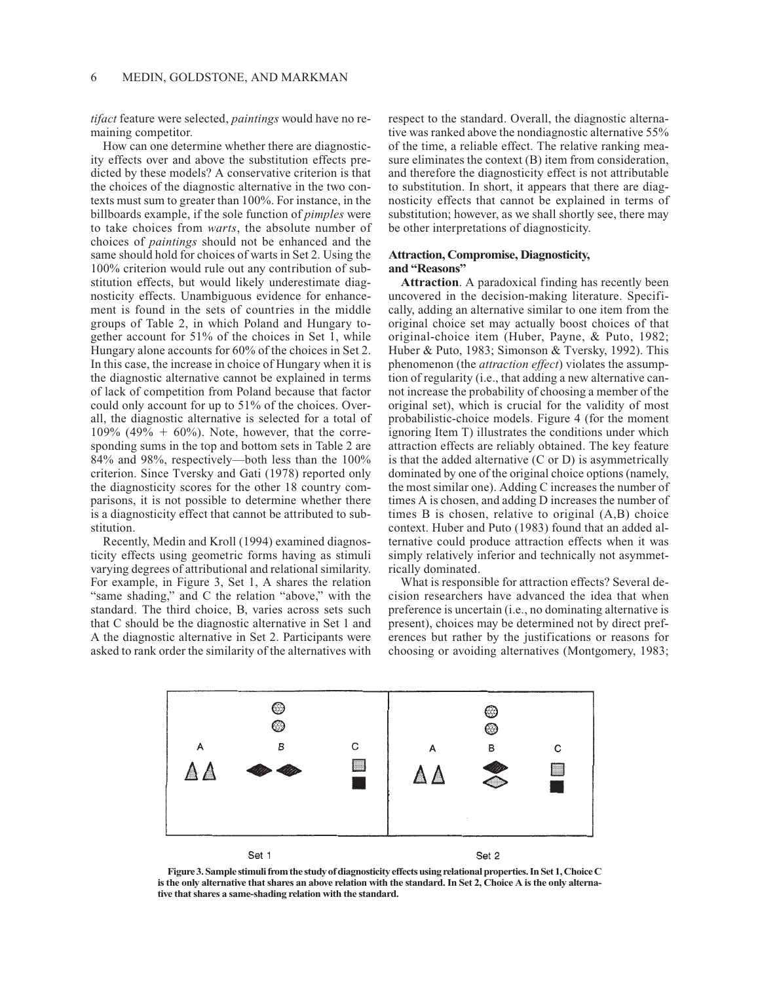*tifact* feature were selected, *paintings* would have no remaining competitor.

How can one determine whether there are diagnosticity effects over and above the substitution effects predicted by these models? A conservative criterion is that the choices of the diagnostic alternative in the two contexts must sum to greater than 100%. For instance, in the billboards example, if the sole function of *pimples* were to take choices from *warts*, the absolute number of choices of *paintings* should not be enhanced and the same should hold for choices of warts in Set 2. Using the 100% criterion would rule out any contribution of substitution effects, but would likely underestimate diagnosticity effects. Unambiguous evidence for enhancement is found in the sets of countries in the middle groups of Table 2, in which Poland and Hungary together account for 51% of the choices in Set 1, while Hungary alone accounts for 60% of the choices in Set 2. In this case, the increase in choice of Hungary when it is the diagnostic alternative cannot be explained in terms of lack of competition from Poland because that factor could only account for up to 51% of the choices. Overall, the diagnostic alternative is selected for a total of  $109\%$  (49% + 60%). Note, however, that the corresponding sums in the top and bottom sets in Table 2 are 84% and 98%, respectively—both less than the 100% criterion. Since Tversky and Gati (1978) reported only the diagnosticity scores for the other 18 country comparisons, it is not possible to determine whether there is a diagnosticity effect that cannot be attributed to substitution.

Recently, Medin and Kroll (1994) examined diagnosticity effects using geometric forms having as stimuli varying degrees of attributional and relational similarity. For example, in Figure 3, Set 1, A shares the relation "same shading," and C the relation "above," with the standard. The third choice, B, varies across sets such that C should be the diagnostic alternative in Set 1 and A the diagnostic alternative in Set 2. Participants were asked to rank order the similarity of the alternatives with respect to the standard. Overall, the diagnostic alternative was ranked above the nondiagnostic alternative 55% of the time, a reliable effect. The relative ranking measure eliminates the context (B) item from consideration, and therefore the diagnosticity effect is not attributable to substitution. In short, it appears that there are diagnosticity effects that cannot be explained in terms of substitution; however, as we shall shortly see, there may be other interpretations of diagnosticity.

# **Attraction, Compromise, Diagnosticity, and "Reasons"**

**Attraction**. A paradoxical finding has recently been uncovered in the decision-making literature. Specifically, adding an alternative similar to one item from the original choice set may actually boost choices of that original-choice item (Huber, Payne, & Puto, 1982; Huber & Puto, 1983; Simonson & Tversky, 1992). This phenomenon (the *attraction effect*) violates the assumption of regularity (i.e., that adding a new alternative cannot increase the probability of choosing a member of the original set), which is crucial for the validity of most probabilistic-choice models. Figure 4 (for the moment ignoring Item T) illustrates the conditions under which attraction effects are reliably obtained. The key feature is that the added alternative (C or D) is asymmetrically dominated by one of the original choice options (namely, the most similar one). Adding C increases the number of times A is chosen, and adding D increases the number of times B is chosen, relative to original (A,B) choice context. Huber and Puto (1983) found that an added alternative could produce attraction effects when it was simply relatively inferior and technically not asymmetrically dominated.

What is responsible for attraction effects? Several decision researchers have advanced the idea that when preference is uncertain (i.e., no dominating alternative is present), choices may be determined not by direct preferences but rather by the justifications or reasons for choosing or avoiding alternatives (Montgomery, 1983;



**Figure 3. Sample stimuli from the study of diagnosticity effects using relational properties. In Set1, ChoiceC is the only alternative that shares an above relation with the standard. In Set 2, Choice A is the only alternative that shares a same-shading relation with the standard.**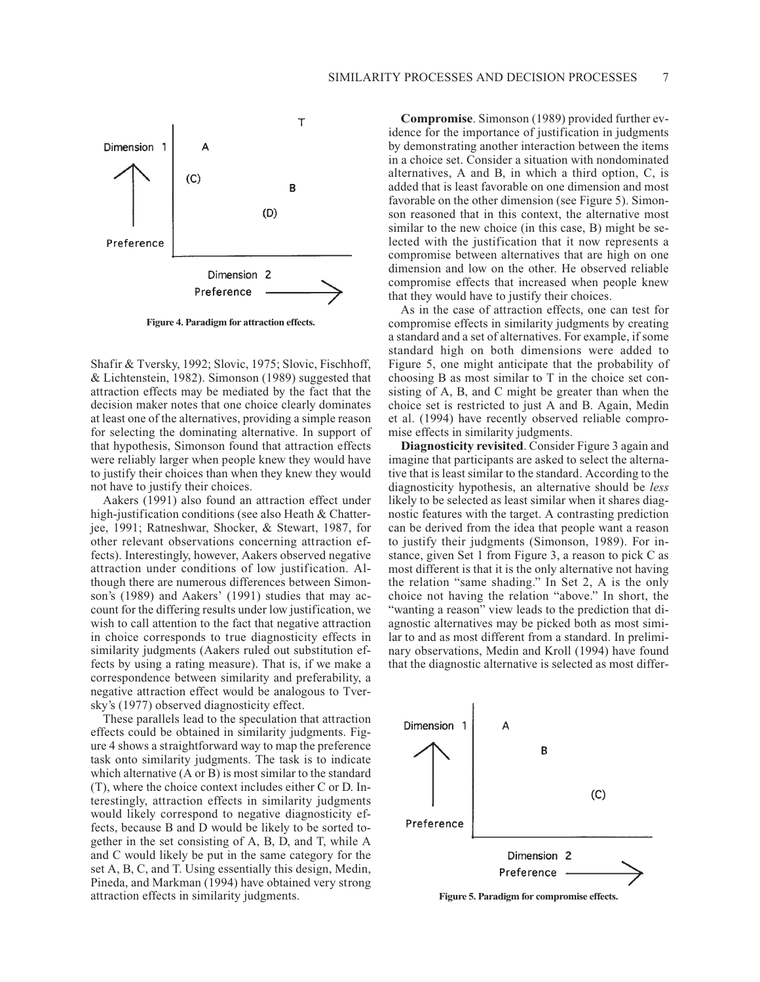

**Figure 4. Paradigm for attraction effects.**

Shafir & Tversky, 1992; Slovic, 1975; Slovic, Fischhoff, & Lichtenstein, 1982). Simonson (1989) suggested that attraction effects may be mediated by the fact that the decision maker notes that one choice clearly dominates at least one of the alternatives, providing a simple reason for selecting the dominating alternative. In support of that hypothesis, Simonson found that attraction effects were reliably larger when people knew they would have to justify their choices than when they knew they would not have to justify their choices.

Aakers (1991) also found an attraction effect under high-justification conditions (see also Heath & Chatterjee, 1991; Ratneshwar, Shocker, & Stewart, 1987, for other relevant observations concerning attraction effects). Interestingly, however, Aakers observed negative attraction under conditions of low justification. Although there are numerous differences between Simonson's (1989) and Aakers' (1991) studies that may account for the differing results under low justification, we wish to call attention to the fact that negative attraction in choice corresponds to true diagnosticity effects in similarity judgments (Aakers ruled out substitution effects by using a rating measure). That is, if we make a correspondence between similarity and preferability, a negative attraction effect would be analogous to Tversky's (1977) observed diagnosticity effect.

These parallels lead to the speculation that attraction effects could be obtained in similarity judgments. Figure 4 shows a straightforward way to map the preference task onto similarity judgments. The task is to indicate which alternative (A or B) is most similar to the standard (T), where the choice context includes either C or D. Interestingly, attraction effects in similarity judgments would likely correspond to negative diagnosticity effects, because B and D would be likely to be sorted together in the set consisting of A, B, D, and T, while A and C would likely be put in the same category for the set A, B, C, and T. Using essentially this design, Medin, Pineda, and Markman (1994) have obtained very strong attraction effects in similarity judgments.

**Compromise**. Simonson (1989) provided further evidence for the importance of justification in judgments by demonstrating another interaction between the items in a choice set. Consider a situation with nondominated alternatives, A and B, in which a third option, C, is added that is least favorable on one dimension and most favorable on the other dimension (see Figure 5). Simonson reasoned that in this context, the alternative most similar to the new choice (in this case, B) might be selected with the justification that it now represents a compromise between alternatives that are high on one dimension and low on the other. He observed reliable compromise effects that increased when people knew that they would have to justify their choices.

As in the case of attraction effects, one can test for compromise effects in similarity judgments by creating a standard and a set of alternatives. For example, if some standard high on both dimensions were added to Figure 5, one might anticipate that the probability of choosing B as most similar to T in the choice set consisting of A, B, and C might be greater than when the choice set is restricted to just A and B. Again, Medin et al. (1994) have recently observed reliable compromise effects in similarity judgments.

**Diagnosticity revisited**. Consider Figure 3 again and imagine that participants are asked to select the alternative that is least similar to the standard. According to the diagnosticity hypothesis, an alternative should be *less* likely to be selected as least similar when it shares diagnostic features with the target. A contrasting prediction can be derived from the idea that people want a reason to justify their judgments (Simonson, 1989). For instance, given Set 1 from Figure 3, a reason to pick C as most different is that it is the only alternative not having the relation "same shading." In Set 2, A is the only choice not having the relation "above." In short, the "wanting a reason" view leads to the prediction that diagnostic alternatives may be picked both as most similar to and as most different from a standard. In preliminary observations, Medin and Kroll (1994) have found that the diagnostic alternative is selected as most differ-

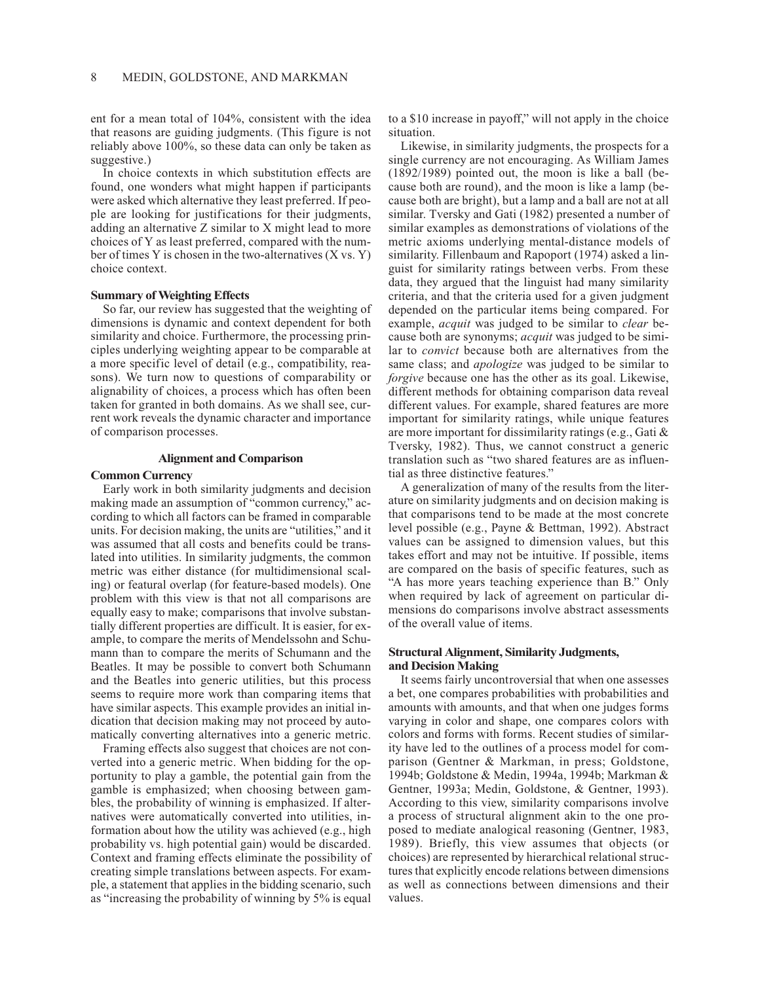ent for a mean total of 104%, consistent with the idea that reasons are guiding judgments. (This figure is not reliably above 100%, so these data can only be taken as suggestive.)

In choice contexts in which substitution effects are found, one wonders what might happen if participants were asked which alternative they least preferred. If people are looking for justifications for their judgments, adding an alternative Z similar to X might lead to more choices of Y as least preferred, compared with the number of times Y is chosen in the two-alternatives  $(X \text{ vs. } Y)$ choice context.

## **Summary of Weighting Effects**

So far, our review has suggested that the weighting of dimensions is dynamic and context dependent for both similarity and choice. Furthermore, the processing principles underlying weighting appear to be comparable at a more specific level of detail (e.g., compatibility, reasons). We turn now to questions of comparability or alignability of choices, a process which has often been taken for granted in both domains. As we shall see, current work reveals the dynamic character and importance of comparison processes.

# **Alignment and Comparison**

## **Common Currency**

Early work in both similarity judgments and decision making made an assumption of "common currency," according to which all factors can be framed in comparable units. For decision making, the units are "utilities," and it was assumed that all costs and benefits could be translated into utilities. In similarity judgments, the common metric was either distance (for multidimensional scaling) or featural overlap (for feature-based models). One problem with this view is that not all comparisons are equally easy to make; comparisons that involve substantially different properties are difficult. It is easier, for example, to compare the merits of Mendelssohn and Schumann than to compare the merits of Schumann and the Beatles. It may be possible to convert both Schumann and the Beatles into generic utilities, but this process seems to require more work than comparing items that have similar aspects. This example provides an initial indication that decision making may not proceed by automatically converting alternatives into a generic metric.

Framing effects also suggest that choices are not converted into a generic metric. When bidding for the opportunity to play a gamble, the potential gain from the gamble is emphasized; when choosing between gambles, the probability of winning is emphasized. If alternatives were automatically converted into utilities, information about how the utility was achieved (e.g., high probability vs. high potential gain) would be discarded. Context and framing effects eliminate the possibility of creating simple translations between aspects. For example, a statement that applies in the bidding scenario, such as "increasing the probability of winning by 5% is equal to a \$10 increase in payoff," will not apply in the choice situation.

Likewise, in similarity judgments, the prospects for a single currency are not encouraging. As William James (1892/1989) pointed out, the moon is like a ball (because both are round), and the moon is like a lamp (because both are bright), but a lamp and a ball are not at all similar. Tversky and Gati (1982) presented a number of similar examples as demonstrations of violations of the metric axioms underlying mental-distance models of similarity. Fillenbaum and Rapoport (1974) asked a linguist for similarity ratings between verbs. From these data, they argued that the linguist had many similarity criteria, and that the criteria used for a given judgment depended on the particular items being compared. For example, *acquit* was judged to be similar to *clear* because both are synonyms; *acquit* was judged to be similar to *convict* because both are alternatives from the same class; and *apologize* was judged to be similar to *forgive* because one has the other as its goal. Likewise, different methods for obtaining comparison data reveal different values. For example, shared features are more important for similarity ratings, while unique features are more important for dissimilarity ratings (e.g., Gati & Tversky, 1982). Thus, we cannot construct a generic translation such as "two shared features are as influential as three distinctive features."

A generalization of many of the results from the literature on similarity judgments and on decision making is that comparisons tend to be made at the most concrete level possible (e.g., Payne & Bettman, 1992). Abstract values can be assigned to dimension values, but this takes effort and may not be intuitive. If possible, items are compared on the basis of specific features, such as "A has more years teaching experience than B." Only when required by lack of agreement on particular dimensions do comparisons involve abstract assessments of the overall value of items.

# **Structural Alignment, Similarity Judgments, and Decision Making**

It seems fairly uncontroversial that when one assesses a bet, one compares probabilities with probabilities and amounts with amounts, and that when one judges forms varying in color and shape, one compares colors with colors and forms with forms. Recent studies of similarity have led to the outlines of a process model for comparison (Gentner & Markman, in press; Goldstone, 1994b; Goldstone & Medin, 1994a, 1994b; Markman & Gentner, 1993a; Medin, Goldstone, & Gentner, 1993). According to this view, similarity comparisons involve a process of structural alignment akin to the one proposed to mediate analogical reasoning (Gentner, 1983, 1989). Briefly, this view assumes that objects (or choices) are represented by hierarchical relational structures that explicitly encode relations between dimensions as well as connections between dimensions and their values.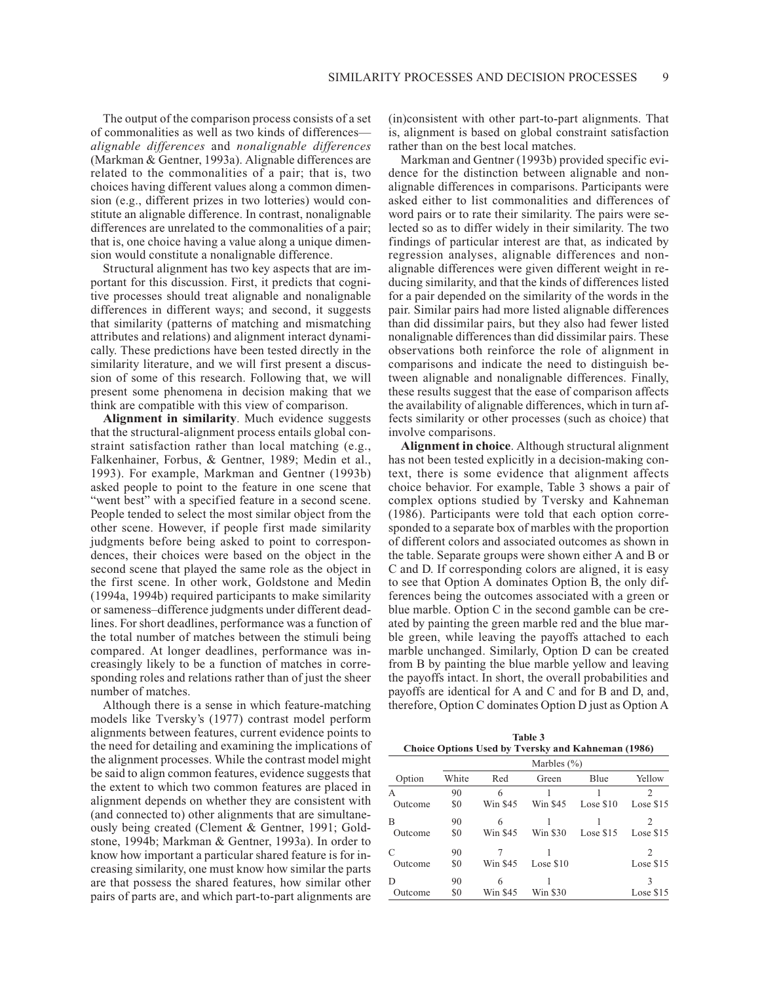The output of the comparison process consists of a set of commonalities as well as two kinds of differences *alignable differences* and *nonalignable differences* (Markman & Gentner, 1993a). Alignable differences are related to the commonalities of a pair; that is, two choices having different values along a common dimension (e.g., different prizes in two lotteries) would constitute an alignable difference. In contrast, nonalignable differences are unrelated to the commonalities of a pair; that is, one choice having a value along a unique dimension would constitute a nonalignable difference.

Structural alignment has two key aspects that are important for this discussion. First, it predicts that cognitive processes should treat alignable and nonalignable differences in different ways; and second, it suggests that similarity (patterns of matching and mismatching attributes and relations) and alignment interact dynamically. These predictions have been tested directly in the similarity literature, and we will first present a discussion of some of this research. Following that, we will present some phenomena in decision making that we think are compatible with this view of comparison.

**Alignment in similarity**. Much evidence suggests that the structural-alignment process entails global constraint satisfaction rather than local matching (e.g., Falkenhainer, Forbus, & Gentner, 1989; Medin et al., 1993). For example, Markman and Gentner (1993b) asked people to point to the feature in one scene that "went best" with a specified feature in a second scene. People tended to select the most similar object from the other scene. However, if people first made similarity judgments before being asked to point to correspondences, their choices were based on the object in the second scene that played the same role as the object in the first scene. In other work, Goldstone and Medin (1994a, 1994b) required participants to make similarity or sameness–difference judgments under different deadlines. For short deadlines, performance was a function of the total number of matches between the stimuli being compared. At longer deadlines, performance was increasingly likely to be a function of matches in corresponding roles and relations rather than of just the sheer number of matches.

Although there is a sense in which feature-matching models like Tversky's (1977) contrast model perform alignments between features, current evidence points to the need for detailing and examining the implications of the alignment processes. While the contrast model might be said to align common features, evidence suggests that the extent to which two common features are placed in alignment depends on whether they are consistent with (and connected to) other alignments that are simultaneously being created (Clement & Gentner, 1991; Goldstone, 1994b; Markman & Gentner, 1993a). In order to know how important a particular shared feature is for increasing similarity, one must know how similar the parts are that possess the shared features, how similar other pairs of parts are, and which part-to-part alignments are (in)consistent with other part-to-part alignments. That is, alignment is based on global constraint satisfaction rather than on the best local matches.

Markman and Gentner (1993b) provided specific evidence for the distinction between alignable and nonalignable differences in comparisons. Participants were asked either to list commonalities and differences of word pairs or to rate their similarity. The pairs were selected so as to differ widely in their similarity. The two findings of particular interest are that, as indicated by regression analyses, alignable differences and nonalignable differences were given different weight in reducing similarity, and that the kinds of differences listed for a pair depended on the similarity of the words in the pair. Similar pairs had more listed alignable differences than did dissimilar pairs, but they also had fewer listed nonalignable differences than did dissimilar pairs. These observations both reinforce the role of alignment in comparisons and indicate the need to distinguish between alignable and nonalignable differences. Finally, these results suggest that the ease of comparison affects the availability of alignable differences, which in turn affects similarity or other processes (such as choice) that involve comparisons.

**Alignment in choice**. Although structural alignment has not been tested explicitly in a decision-making context, there is some evidence that alignment affects choice behavior. For example, Table 3 shows a pair of complex options studied by Tversky and Kahneman (1986). Participants were told that each option corresponded to a separate box of marbles with the proportion of different colors and associated outcomes as shown in the table. Separate groups were shown either A and B or C and D. If corresponding colors are aligned, it is easy to see that Option A dominates Option B, the only differences being the outcomes associated with a green or blue marble. Option C in the second gamble can be created by painting the green marble red and the blue marble green, while leaving the payoffs attached to each marble unchanged. Similarly, Option D can be created from B by painting the blue marble yellow and leaving the payoffs intact. In short, the overall probabilities and payoffs are identical for A and C and for B and D, and, therefore, Option C dominates Option D just as Option A

| тапе э<br><b>Choice Options Used by Tversky and Kahneman (1986)</b> |                 |          |            |            |            |  |  |
|---------------------------------------------------------------------|-----------------|----------|------------|------------|------------|--|--|
|                                                                     | Marbles $(\% )$ |          |            |            |            |  |  |
| Option                                                              | White           | Red      | Green      | Blue       | Yellow     |  |  |
| А                                                                   | 90              | 6        |            |            | 2          |  |  |
| Outcome                                                             | \$0             | Win \$45 | Win \$45   | Lose $$10$ | Lose $$15$ |  |  |
| B                                                                   | 90              | 6        |            |            |            |  |  |
| Outcome                                                             | \$0             | Win \$45 | Win \$30   | Lose $$15$ | Lose $$15$ |  |  |
| C                                                                   | 90              |          |            |            |            |  |  |
| Outcome                                                             | \$0             | Win \$45 | Lose $$10$ |            | Lose $$15$ |  |  |
| D                                                                   | 90              | 6        |            |            | 3          |  |  |
| Outcome                                                             | \$0             | Win \$45 | Win \$30   |            | Lose $$15$ |  |  |

**Table 3**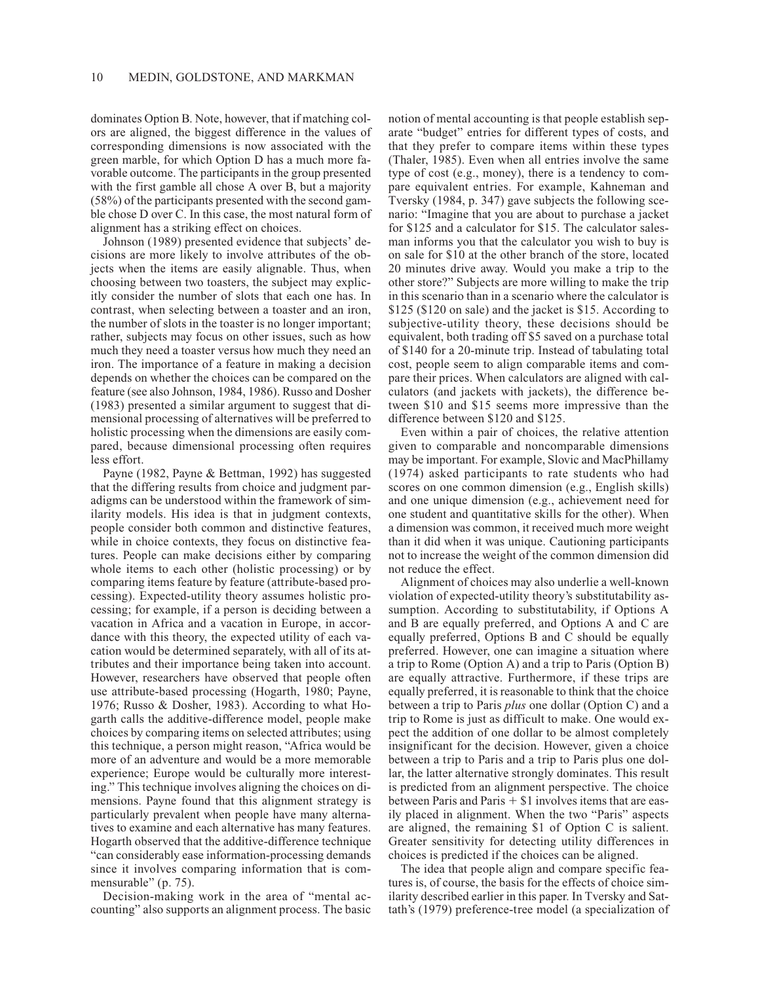dominates Option B. Note, however, that if matching colors are aligned, the biggest difference in the values of corresponding dimensions is now associated with the green marble, for which Option D has a much more favorable outcome. The participants in the group presented with the first gamble all chose A over B, but a majority (58%) of the participants presented with the second gamble chose D over C. In this case, the most natural form of alignment has a striking effect on choices.

Johnson (1989) presented evidence that subjects' decisions are more likely to involve attributes of the objects when the items are easily alignable. Thus, when choosing between two toasters, the subject may explicitly consider the number of slots that each one has. In contrast, when selecting between a toaster and an iron, the number of slots in the toaster is no longer important; rather, subjects may focus on other issues, such as how much they need a toaster versus how much they need an iron. The importance of a feature in making a decision depends on whether the choices can be compared on the feature (see also Johnson, 1984, 1986). Russo and Dosher (1983) presented a similar argument to suggest that dimensional processing of alternatives will be preferred to holistic processing when the dimensions are easily compared, because dimensional processing often requires less effort.

Payne (1982, Payne & Bettman, 1992) has suggested that the differing results from choice and judgment paradigms can be understood within the framework of similarity models. His idea is that in judgment contexts, people consider both common and distinctive features, while in choice contexts, they focus on distinctive features. People can make decisions either by comparing whole items to each other (holistic processing) or by comparing items feature by feature (attribute-based processing). Expected-utility theory assumes holistic processing; for example, if a person is deciding between a vacation in Africa and a vacation in Europe, in accordance with this theory, the expected utility of each vacation would be determined separately, with all of its attributes and their importance being taken into account. However, researchers have observed that people often use attribute-based processing (Hogarth, 1980; Payne, 1976; Russo & Dosher, 1983). According to what Hogarth calls the additive-difference model, people make choices by comparing items on selected attributes; using this technique, a person might reason, "Africa would be more of an adventure and would be a more memorable experience; Europe would be culturally more interesting." This technique involves aligning the choices on dimensions. Payne found that this alignment strategy is particularly prevalent when people have many alternatives to examine and each alternative has many features. Hogarth observed that the additive-difference technique "can considerably ease information-processing demands since it involves comparing information that is commensurable" (p. 75).

Decision-making work in the area of "mental accounting" also supports an alignment process. The basic

notion of mental accounting is that people establish separate "budget" entries for different types of costs, and that they prefer to compare items within these types (Thaler, 1985). Even when all entries involve the same type of cost (e.g., money), there is a tendency to compare equivalent entries. For example, Kahneman and Tversky (1984, p. 347) gave subjects the following scenario: "Imagine that you are about to purchase a jacket for \$125 and a calculator for \$15. The calculator salesman informs you that the calculator you wish to buy is on sale for \$10 at the other branch of the store, located 20 minutes drive away. Would you make a trip to the other store?" Subjects are more willing to make the trip in this scenario than in a scenario where the calculator is \$125 (\$120 on sale) and the jacket is \$15. According to subjective-utility theory, these decisions should be equivalent, both trading off \$5 saved on a purchase total of \$140 for a 20-minute trip. Instead of tabulating total cost, people seem to align comparable items and compare their prices. When calculators are aligned with calculators (and jackets with jackets), the difference between \$10 and \$15 seems more impressive than the difference between \$120 and \$125.

Even within a pair of choices, the relative attention given to comparable and noncomparable dimensions may be important. For example, Slovic and MacPhillamy (1974) asked participants to rate students who had scores on one common dimension (e.g., English skills) and one unique dimension (e.g., achievement need for one student and quantitative skills for the other). When a dimension was common, it received much more weight than it did when it was unique. Cautioning participants not to increase the weight of the common dimension did not reduce the effect.

Alignment of choices may also underlie a well-known violation of expected-utility theory's substitutability assumption. According to substitutability, if Options A and B are equally preferred, and Options A and C are equally preferred, Options B and C should be equally preferred. However, one can imagine a situation where a trip to Rome (Option A) and a trip to Paris (Option B) are equally attractive. Furthermore, if these trips are equally preferred, it is reasonable to think that the choice between a trip to Paris *plus* one dollar (Option C) and a trip to Rome is just as difficult to make. One would expect the addition of one dollar to be almost completely insignificant for the decision. However, given a choice between a trip to Paris and a trip to Paris plus one dollar, the latter alternative strongly dominates. This result is predicted from an alignment perspective. The choice between Paris and Paris  $+ $1$  involves items that are easily placed in alignment. When the two "Paris" aspects are aligned, the remaining \$1 of Option C is salient. Greater sensitivity for detecting utility differences in choices is predicted if the choices can be aligned.

The idea that people align and compare specific features is, of course, the basis for the effects of choice similarity described earlier in this paper. In Tversky and Sattath's (1979) preference-tree model (a specialization of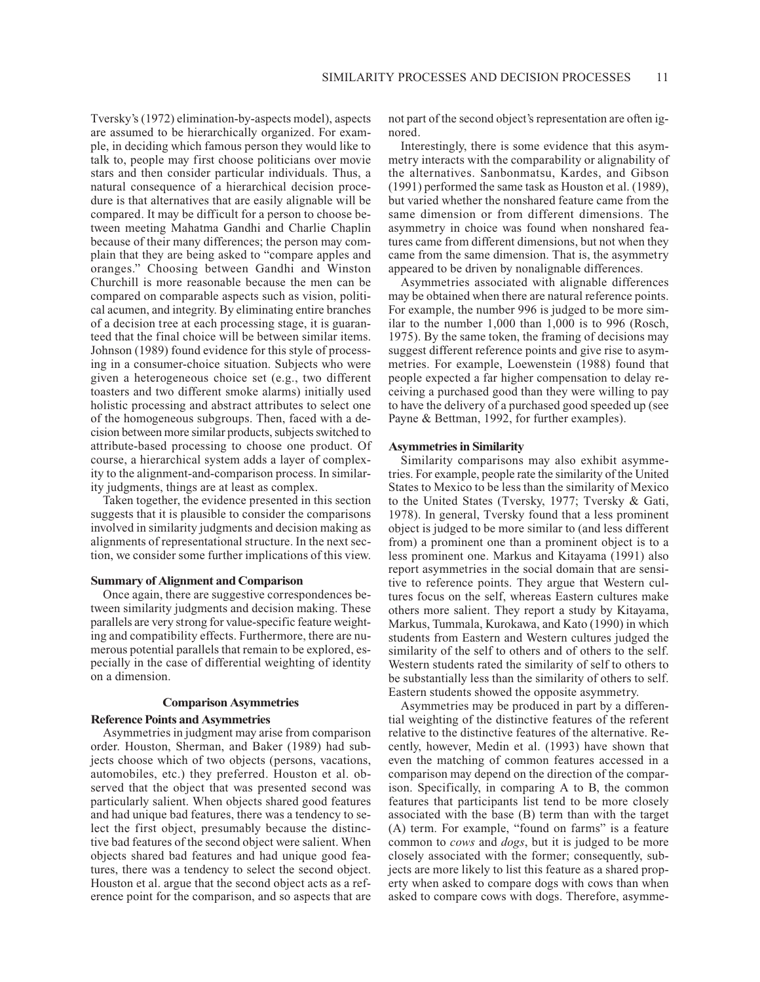Tversky's (1972) elimination-by-aspects model), aspects are assumed to be hierarchically organized. For example, in deciding which famous person they would like to talk to, people may first choose politicians over movie stars and then consider particular individuals. Thus, a natural consequence of a hierarchical decision procedure is that alternatives that are easily alignable will be compared. It may be difficult for a person to choose between meeting Mahatma Gandhi and Charlie Chaplin because of their many differences; the person may complain that they are being asked to "compare apples and oranges." Choosing between Gandhi and Winston Churchill is more reasonable because the men can be compared on comparable aspects such as vision, political acumen, and integrity. By eliminating entire branches of a decision tree at each processing stage, it is guaranteed that the final choice will be between similar items. Johnson (1989) found evidence for this style of processing in a consumer-choice situation. Subjects who were given a heterogeneous choice set (e.g., two different toasters and two different smoke alarms) initially used holistic processing and abstract attributes to select one of the homogeneous subgroups. Then, faced with a decision between more similar products, subjects switched to attribute-based processing to choose one product. Of course, a hierarchical system adds a layer of complexity to the alignment-and-comparison process. In similarity judgments, things are at least as complex.

Taken together, the evidence presented in this section suggests that it is plausible to consider the comparisons involved in similarity judgments and decision making as alignments of representational structure. In the next section, we consider some further implications of this view.

#### **Summary of Alignment and Comparison**

Once again, there are suggestive correspondences between similarity judgments and decision making. These parallels are very strong for value-specific feature weighting and compatibility effects. Furthermore, there are numerous potential parallels that remain to be explored, especially in the case of differential weighting of identity on a dimension.

#### **Comparison Asymmetries**

#### **Reference Points and Asymmetries**

Asymmetries in judgment may arise from comparison order. Houston, Sherman, and Baker (1989) had subjects choose which of two objects (persons, vacations, automobiles, etc.) they preferred. Houston et al. observed that the object that was presented second was particularly salient. When objects shared good features and had unique bad features, there was a tendency to select the first object, presumably because the distinctive bad features of the second object were salient. When objects shared bad features and had unique good features, there was a tendency to select the second object. Houston et al. argue that the second object acts as a reference point for the comparison, and so aspects that are not part of the second object's representation are often ignored.

Interestingly, there is some evidence that this asymmetry interacts with the comparability or alignability of the alternatives. Sanbonmatsu, Kardes, and Gibson (1991) performed the same task as Houston et al. (1989), but varied whether the nonshared feature came from the same dimension or from different dimensions. The asymmetry in choice was found when nonshared features came from different dimensions, but not when they came from the same dimension. That is, the asymmetry appeared to be driven by nonalignable differences.

Asymmetries associated with alignable differences may be obtained when there are natural reference points. For example, the number 996 is judged to be more similar to the number 1,000 than 1,000 is to 996 (Rosch, 1975). By the same token, the framing of decisions may suggest different reference points and give rise to asymmetries. For example, Loewenstein (1988) found that people expected a far higher compensation to delay receiving a purchased good than they were willing to pay to have the delivery of a purchased good speeded up (see Payne & Bettman, 1992, for further examples).

#### **Asymmetries in Similarity**

Similarity comparisons may also exhibit asymmetries. For example, people rate the similarity of the United States to Mexico to be less than the similarity of Mexico to the United States (Tversky, 1977; Tversky & Gati, 1978). In general, Tversky found that a less prominent object is judged to be more similar to (and less different from) a prominent one than a prominent object is to a less prominent one. Markus and Kitayama (1991) also report asymmetries in the social domain that are sensitive to reference points. They argue that Western cultures focus on the self, whereas Eastern cultures make others more salient. They report a study by Kitayama, Markus, Tummala, Kurokawa, and Kato (1990) in which students from Eastern and Western cultures judged the similarity of the self to others and of others to the self. Western students rated the similarity of self to others to be substantially less than the similarity of others to self. Eastern students showed the opposite asymmetry.

Asymmetries may be produced in part by a differential weighting of the distinctive features of the referent relative to the distinctive features of the alternative. Recently, however, Medin et al. (1993) have shown that even the matching of common features accessed in a comparison may depend on the direction of the comparison. Specifically, in comparing A to B, the common features that participants list tend to be more closely associated with the base (B) term than with the target (A) term. For example, "found on farms" is a feature common to *cows* and *dogs*, but it is judged to be more closely associated with the former; consequently, subjects are more likely to list this feature as a shared property when asked to compare dogs with cows than when asked to compare cows with dogs. Therefore, asymme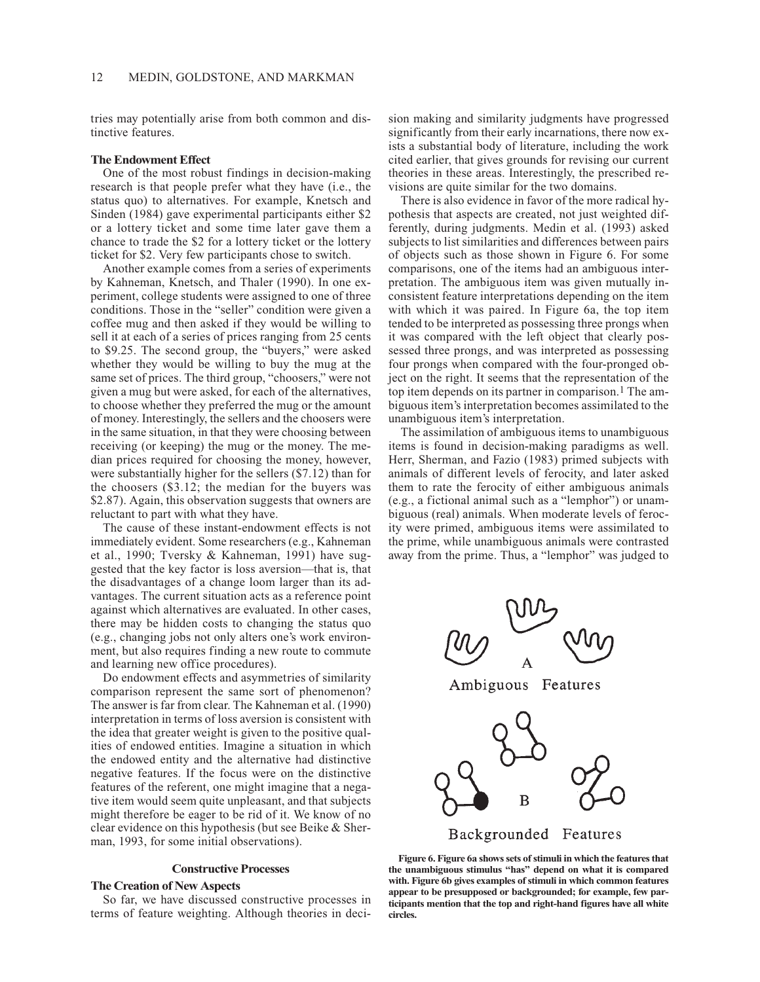tries may potentially arise from both common and distinctive features.

#### **The Endowment Effect**

One of the most robust findings in decision-making research is that people prefer what they have (i.e., the status quo) to alternatives. For example, Knetsch and Sinden (1984) gave experimental participants either \$2 or a lottery ticket and some time later gave them a chance to trade the \$2 for a lottery ticket or the lottery ticket for \$2. Very few participants chose to switch.

Another example comes from a series of experiments by Kahneman, Knetsch, and Thaler (1990). In one experiment, college students were assigned to one of three conditions. Those in the "seller" condition were given a coffee mug and then asked if they would be willing to sell it at each of a series of prices ranging from 25 cents to \$9.25. The second group, the "buyers," were asked whether they would be willing to buy the mug at the same set of prices. The third group, "choosers," were not given a mug but were asked, for each of the alternatives, to choose whether they preferred the mug or the amount of money. Interestingly, the sellers and the choosers were in the same situation, in that they were choosing between receiving (or keeping) the mug or the money. The median prices required for choosing the money, however, were substantially higher for the sellers (\$7.12) than for the choosers (\$3.12; the median for the buyers was \$2.87). Again, this observation suggests that owners are reluctant to part with what they have.

The cause of these instant-endowment effects is not immediately evident. Some researchers (e.g., Kahneman et al., 1990; Tversky & Kahneman, 1991) have suggested that the key factor is loss aversion—that is, that the disadvantages of a change loom larger than its advantages. The current situation acts as a reference point against which alternatives are evaluated. In other cases, there may be hidden costs to changing the status quo (e.g., changing jobs not only alters one's work environment, but also requires finding a new route to commute and learning new office procedures).

Do endowment effects and asymmetries of similarity comparison represent the same sort of phenomenon? The answer is far from clear. The Kahneman et al. (1990) interpretation in terms of loss aversion is consistent with the idea that greater weight is given to the positive qualities of endowed entities. Imagine a situation in which the endowed entity and the alternative had distinctive negative features. If the focus were on the distinctive features of the referent, one might imagine that a negative item would seem quite unpleasant, and that subjects might therefore be eager to be rid of it. We know of no clear evidence on this hypothesis (but see Beike & Sherman, 1993, for some initial observations).

## **Constructive Processes**

## **The Creation of New Aspects**

So far, we have discussed constructive processes in terms of feature weighting. Although theories in decision making and similarity judgments have progressed significantly from their early incarnations, there now exists a substantial body of literature, including the work cited earlier, that gives grounds for revising our current theories in these areas. Interestingly, the prescribed revisions are quite similar for the two domains.

There is also evidence in favor of the more radical hypothesis that aspects are created, not just weighted differently, during judgments. Medin et al. (1993) asked subjects to list similarities and differences between pairs of objects such as those shown in Figure 6. For some comparisons, one of the items had an ambiguous interpretation. The ambiguous item was given mutually inconsistent feature interpretations depending on the item with which it was paired. In Figure 6a, the top item tended to be interpreted as possessing three prongs when it was compared with the left object that clearly possessed three prongs, and was interpreted as possessing four prongs when compared with the four-pronged object on the right. It seems that the representation of the top item depends on its partner in comparison.<sup>1</sup> The ambiguous item's interpretation becomes assimilated to the unambiguous item's interpretation.

The assimilation of ambiguous items to unambiguous items is found in decision-making paradigms as well. Herr, Sherman, and Fazio (1983) primed subjects with animals of different levels of ferocity, and later asked them to rate the ferocity of either ambiguous animals (e.g., a fictional animal such as a "lemphor") or unambiguous (real) animals. When moderate levels of ferocity were primed, ambiguous items were assimilated to the prime, while unambiguous animals were contrasted away from the prime. Thus, a "lemphor" was judged to



**Figure 6. Figure 6a shows sets of stimuli in which the features that the unambiguous stimulus "has" depend on what it is compared with. Figure 6b gives examples of stimuli in which common features appear to be presupposed or backgrounded; for example, few participants mention that the top and right-hand figures have all white circles.**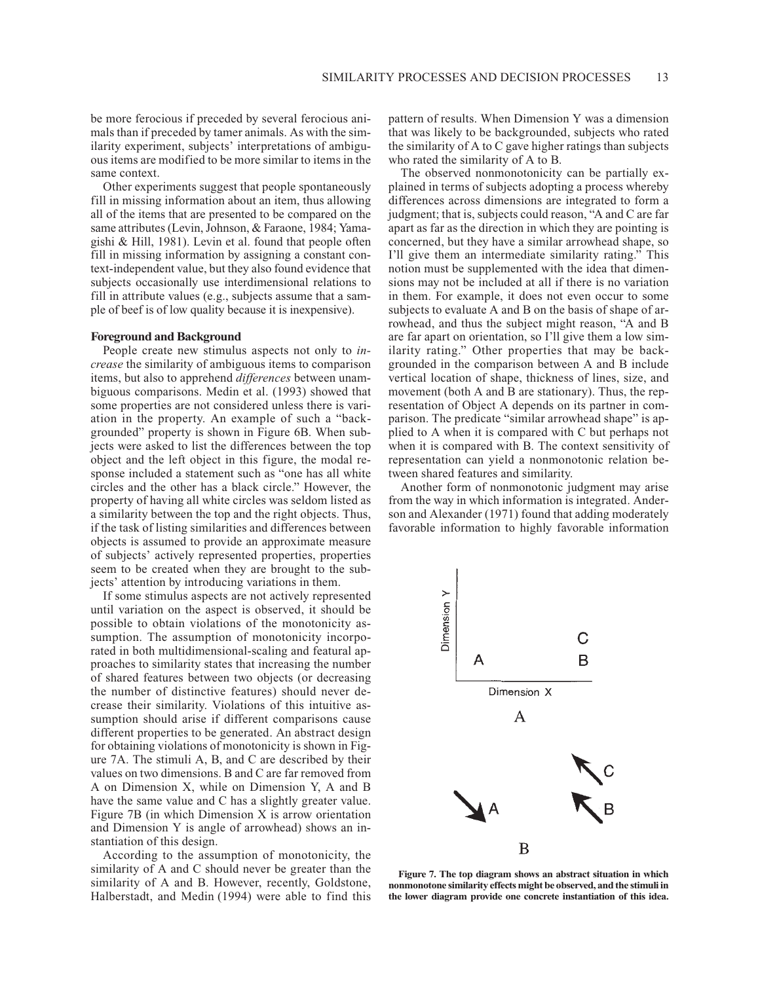be more ferocious if preceded by several ferocious animals than if preceded by tamer animals. As with the similarity experiment, subjects' interpretations of ambiguous items are modified to be more similar to items in the same context.

Other experiments suggest that people spontaneously fill in missing information about an item, thus allowing all of the items that are presented to be compared on the same attributes (Levin, Johnson, & Faraone, 1984; Yamagishi & Hill, 1981). Levin et al. found that people often fill in missing information by assigning a constant context-independent value, but they also found evidence that subjects occasionally use interdimensional relations to fill in attribute values (e.g., subjects assume that a sample of beef is of low quality because it is inexpensive).

## **Foreground and Background**

People create new stimulus aspects not only to *increase* the similarity of ambiguous items to comparison items, but also to apprehend *differences* between unambiguous comparisons. Medin et al. (1993) showed that some properties are not considered unless there is variation in the property. An example of such a "backgrounded" property is shown in Figure 6B. When subjects were asked to list the differences between the top object and the left object in this figure, the modal response included a statement such as "one has all white circles and the other has a black circle." However, the property of having all white circles was seldom listed as a similarity between the top and the right objects. Thus, if the task of listing similarities and differences between objects is assumed to provide an approximate measure of subjects' actively represented properties, properties seem to be created when they are brought to the subjects' attention by introducing variations in them.

If some stimulus aspects are not actively represented until variation on the aspect is observed, it should be possible to obtain violations of the monotonicity assumption. The assumption of monotonicity incorporated in both multidimensional-scaling and featural approaches to similarity states that increasing the number of shared features between two objects (or decreasing the number of distinctive features) should never decrease their similarity. Violations of this intuitive assumption should arise if different comparisons cause different properties to be generated. An abstract design for obtaining violations of monotonicity is shown in Figure 7A. The stimuli A, B, and C are described by their values on two dimensions. B and C are far removed from A on Dimension X, while on Dimension Y, A and B have the same value and C has a slightly greater value. Figure 7B (in which Dimension X is arrow orientation and Dimension Y is angle of arrowhead) shows an instantiation of this design.

According to the assumption of monotonicity, the similarity of A and C should never be greater than the similarity of A and B. However, recently, Goldstone, Halberstadt, and Medin (1994) were able to find this pattern of results. When Dimension Y was a dimension that was likely to be backgrounded, subjects who rated the similarity of A to C gave higher ratings than subjects who rated the similarity of A to B.

The observed nonmonotonicity can be partially explained in terms of subjects adopting a process whereby differences across dimensions are integrated to form a judgment; that is, subjects could reason, "A and C are far apart as far as the direction in which they are pointing is concerned, but they have a similar arrowhead shape, so I'll give them an intermediate similarity rating." This notion must be supplemented with the idea that dimensions may not be included at all if there is no variation in them. For example, it does not even occur to some subjects to evaluate A and B on the basis of shape of arrowhead, and thus the subject might reason, "A and B are far apart on orientation, so I'll give them a low similarity rating." Other properties that may be backgrounded in the comparison between A and B include vertical location of shape, thickness of lines, size, and movement (both A and B are stationary). Thus, the representation of Object A depends on its partner in comparison. The predicate "similar arrowhead shape" is applied to A when it is compared with C but perhaps not when it is compared with B. The context sensitivity of representation can yield a nonmonotonic relation between shared features and similarity.

Another form of nonmonotonic judgment may arise from the way in which information is integrated. Anderson and Alexander (1971) found that adding moderately favorable information to highly favorable information



**Figure 7. The top diagram shows an abstract situation in which nonmonotone similarity effects might be observed, and the stimuli in the lower diagram provide one concrete instantiation of this idea.**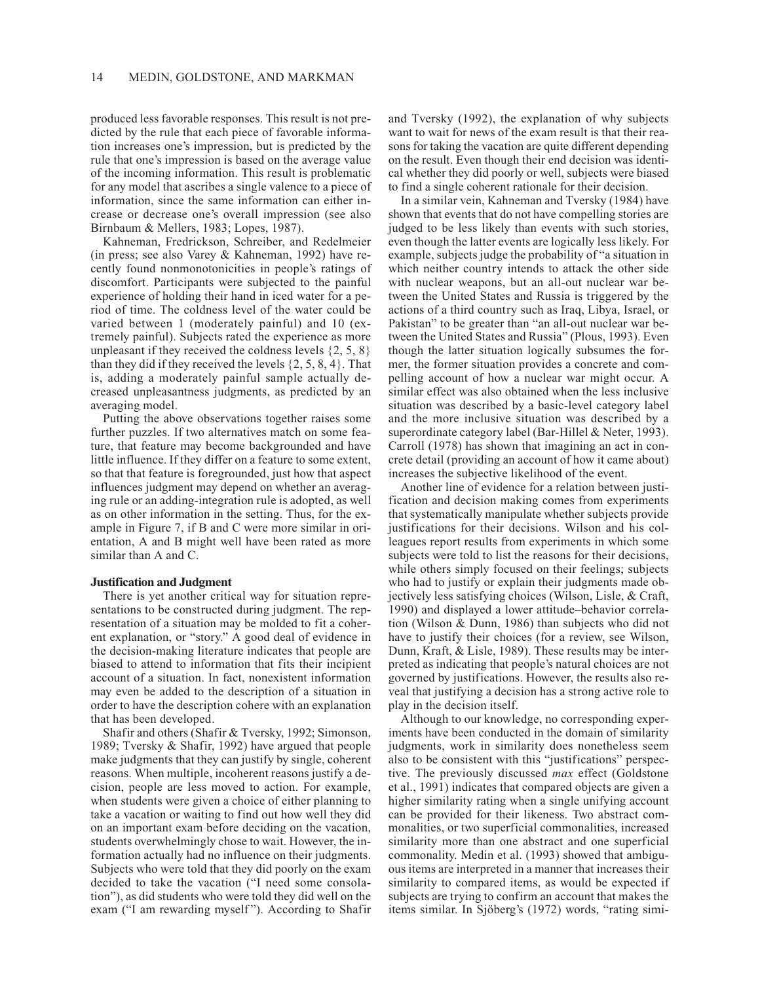produced less favorable responses. This result is not predicted by the rule that each piece of favorable information increases one's impression, but is predicted by the rule that one's impression is based on the average value of the incoming information. This result is problematic for any model that ascribes a single valence to a piece of information, since the same information can either increase or decrease one's overall impression (see also Birnbaum & Mellers, 1983; Lopes, 1987).

Kahneman, Fredrickson, Schreiber, and Redelmeier (in press; see also Varey & Kahneman, 1992) have recently found nonmonotonicities in people's ratings of discomfort. Participants were subjected to the painful experience of holding their hand in iced water for a period of time. The coldness level of the water could be varied between 1 (moderately painful) and 10 (extremely painful). Subjects rated the experience as more unpleasant if they received the coldness levels  $\{2, 5, 8\}$ than they did if they received the levels  $\{2, 5, 8, 4\}$ . That is, adding a moderately painful sample actually decreased unpleasantness judgments, as predicted by an averaging model.

Putting the above observations together raises some further puzzles. If two alternatives match on some feature, that feature may become backgrounded and have little influence. If they differ on a feature to some extent, so that that feature is foregrounded, just how that aspect influences judgment may depend on whether an averaging rule or an adding-integration rule is adopted, as well as on other information in the setting. Thus, for the example in Figure 7, if B and C were more similar in orientation, A and B might well have been rated as more similar than A and C.

## **Justification and Judgment**

There is yet another critical way for situation representations to be constructed during judgment. The representation of a situation may be molded to fit a coherent explanation, or "story." A good deal of evidence in the decision-making literature indicates that people are biased to attend to information that fits their incipient account of a situation. In fact, nonexistent information may even be added to the description of a situation in order to have the description cohere with an explanation that has been developed.

Shafir and others (Shafir & Tversky, 1992; Simonson, 1989; Tversky & Shafir, 1992) have argued that people make judgments that they can justify by single, coherent reasons. When multiple, incoherent reasons justify a decision, people are less moved to action. For example, when students were given a choice of either planning to take a vacation or waiting to find out how well they did on an important exam before deciding on the vacation, students overwhelmingly chose to wait. However, the information actually had no influence on their judgments. Subjects who were told that they did poorly on the exam decided to take the vacation ("I need some consolation"), as did students who were told they did well on the exam ("I am rewarding myself"). According to Shafir and Tversky (1992), the explanation of why subjects want to wait for news of the exam result is that their reasons for taking the vacation are quite different depending on the result. Even though their end decision was identical whether they did poorly or well, subjects were biased to find a single coherent rationale for their decision.

In a similar vein, Kahneman and Tversky (1984) have shown that events that do not have compelling stories are judged to be less likely than events with such stories, even though the latter events are logically less likely. For example, subjects judge the probability of "a situation in which neither country intends to attack the other side with nuclear weapons, but an all-out nuclear war between the United States and Russia is triggered by the actions of a third country such as Iraq, Libya, Israel, or Pakistan" to be greater than "an all-out nuclear war between the United States and Russia" (Plous, 1993). Even though the latter situation logically subsumes the former, the former situation provides a concrete and compelling account of how a nuclear war might occur. A similar effect was also obtained when the less inclusive situation was described by a basic-level category label and the more inclusive situation was described by a superordinate category label (Bar-Hillel & Neter, 1993). Carroll (1978) has shown that imagining an act in concrete detail (providing an account of how it came about) increases the subjective likelihood of the event.

Another line of evidence for a relation between justification and decision making comes from experiments that systematically manipulate whether subjects provide justifications for their decisions. Wilson and his colleagues report results from experiments in which some subjects were told to list the reasons for their decisions, while others simply focused on their feelings; subjects who had to justify or explain their judgments made objectively less satisfying choices (Wilson, Lisle, & Craft, 1990) and displayed a lower attitude–behavior correlation (Wilson & Dunn, 1986) than subjects who did not have to justify their choices (for a review, see Wilson, Dunn, Kraft, & Lisle, 1989). These results may be interpreted as indicating that people's natural choices are not governed by justifications. However, the results also reveal that justifying a decision has a strong active role to play in the decision itself.

Although to our knowledge, no corresponding experiments have been conducted in the domain of similarity judgments, work in similarity does nonetheless seem also to be consistent with this "justifications" perspective. The previously discussed *max* effect (Goldstone et al., 1991) indicates that compared objects are given a higher similarity rating when a single unifying account can be provided for their likeness. Two abstract commonalities, or two superficial commonalities, increased similarity more than one abstract and one superficial commonality. Medin et al. (1993) showed that ambiguous items are interpreted in a manner that increases their similarity to compared items, as would be expected if subjects are trying to confirm an account that makes the items similar. In Sjöberg's (1972) words, "rating simi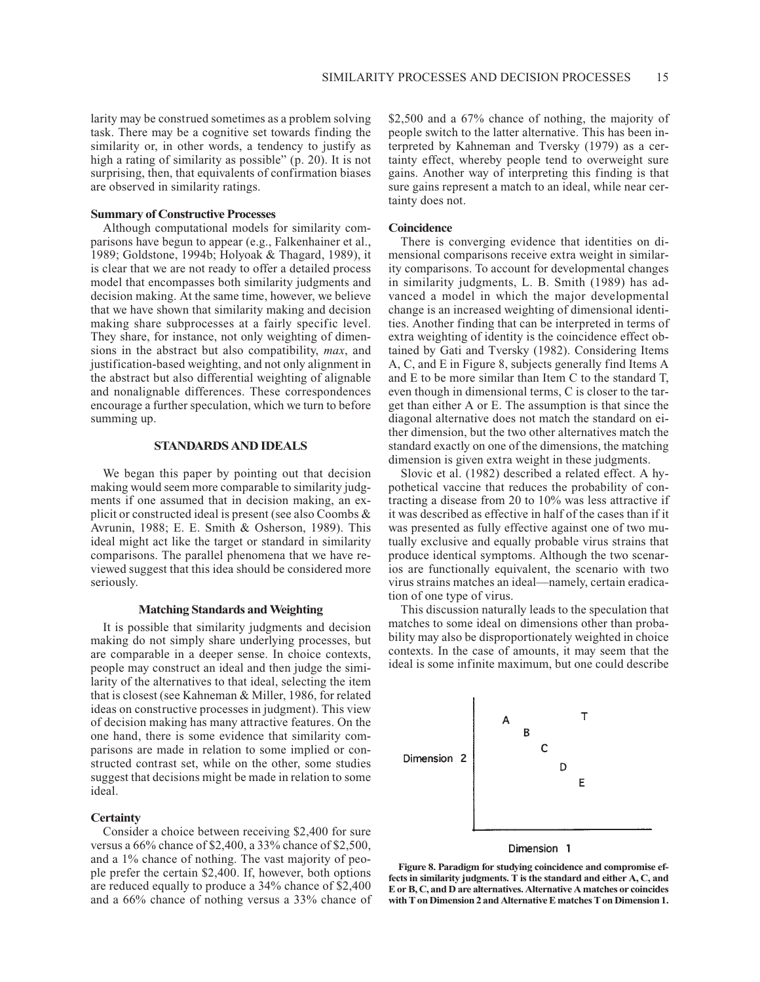larity may be construed sometimes as a problem solving task. There may be a cognitive set towards finding the similarity or, in other words, a tendency to justify as high a rating of similarity as possible" (p. 20). It is not surprising, then, that equivalents of confirmation biases are observed in similarity ratings.

## **Summary of Constructive Processes**

Although computational models for similarity comparisons have begun to appear (e.g., Falkenhainer et al., 1989; Goldstone, 1994b; Holyoak & Thagard, 1989), it is clear that we are not ready to offer a detailed process model that encompasses both similarity judgments and decision making. At the same time, however, we believe that we have shown that similarity making and decision making share subprocesses at a fairly specific level. They share, for instance, not only weighting of dimensions in the abstract but also compatibility, *max*, and justification-based weighting, and not only alignment in the abstract but also differential weighting of alignable and nonalignable differences. These correspondences encourage a further speculation, which we turn to before summing up.

# **STANDARDS AND IDEALS**

We began this paper by pointing out that decision making would seem more comparable to similarity judgments if one assumed that in decision making, an explicit or constructed ideal is present (see also Coombs & Avrunin, 1988; E. E. Smith & Osherson, 1989). This ideal might act like the target or standard in similarity comparisons. The parallel phenomena that we have reviewed suggest that this idea should be considered more seriously.

## **Matching Standards and Weighting**

It is possible that similarity judgments and decision making do not simply share underlying processes, but are comparable in a deeper sense. In choice contexts, people may construct an ideal and then judge the similarity of the alternatives to that ideal, selecting the item that is closest (see Kahneman & Miller, 1986, for related ideas on constructive processes in judgment). This view of decision making has many attractive features. On the one hand, there is some evidence that similarity comparisons are made in relation to some implied or constructed contrast set, while on the other, some studies suggest that decisions might be made in relation to some ideal.

# **Certainty**

Consider a choice between receiving \$2,400 for sure versus a 66% chance of \$2,400, a 33% chance of \$2,500, and a 1% chance of nothing. The vast majority of people prefer the certain \$2,400. If, however, both options are reduced equally to produce a 34% chance of \$2,400 and a 66% chance of nothing versus a 33% chance of \$2,500 and a 67% chance of nothing, the majority of people switch to the latter alternative. This has been interpreted by Kahneman and Tversky (1979) as a certainty effect, whereby people tend to overweight sure gains. Another way of interpreting this finding is that sure gains represent a match to an ideal, while near certainty does not.

## **Coincidence**

There is converging evidence that identities on dimensional comparisons receive extra weight in similarity comparisons. To account for developmental changes in similarity judgments, L. B. Smith (1989) has advanced a model in which the major developmental change is an increased weighting of dimensional identities. Another finding that can be interpreted in terms of extra weighting of identity is the coincidence effect obtained by Gati and Tversky (1982). Considering Items A, C, and E in Figure 8, subjects generally find Items A and E to be more similar than Item C to the standard T, even though in dimensional terms, C is closer to the target than either A or E. The assumption is that since the diagonal alternative does not match the standard on either dimension, but the two other alternatives match the standard exactly on one of the dimensions, the matching dimension is given extra weight in these judgments.

Slovic et al. (1982) described a related effect. A hypothetical vaccine that reduces the probability of contracting a disease from 20 to 10% was less attractive if it was described as effective in half of the cases than if it was presented as fully effective against one of two mutually exclusive and equally probable virus strains that produce identical symptoms. Although the two scenarios are functionally equivalent, the scenario with two virus strains matches an ideal—namely, certain eradication of one type of virus.

This discussion naturally leads to the speculation that matches to some ideal on dimensions other than probability may also be disproportionately weighted in choice contexts. In the case of amounts, it may seem that the ideal is some infinite maximum, but one could describe



**Figure 8. Paradigm for studying coincidence and compromise effects in similarity judgments. T is the standard and either A, C, and E or B, C, and D are alternatives. Alternative A matches or coincides with T on Dimension 2 and Alternative E matches T on Dimension 1.**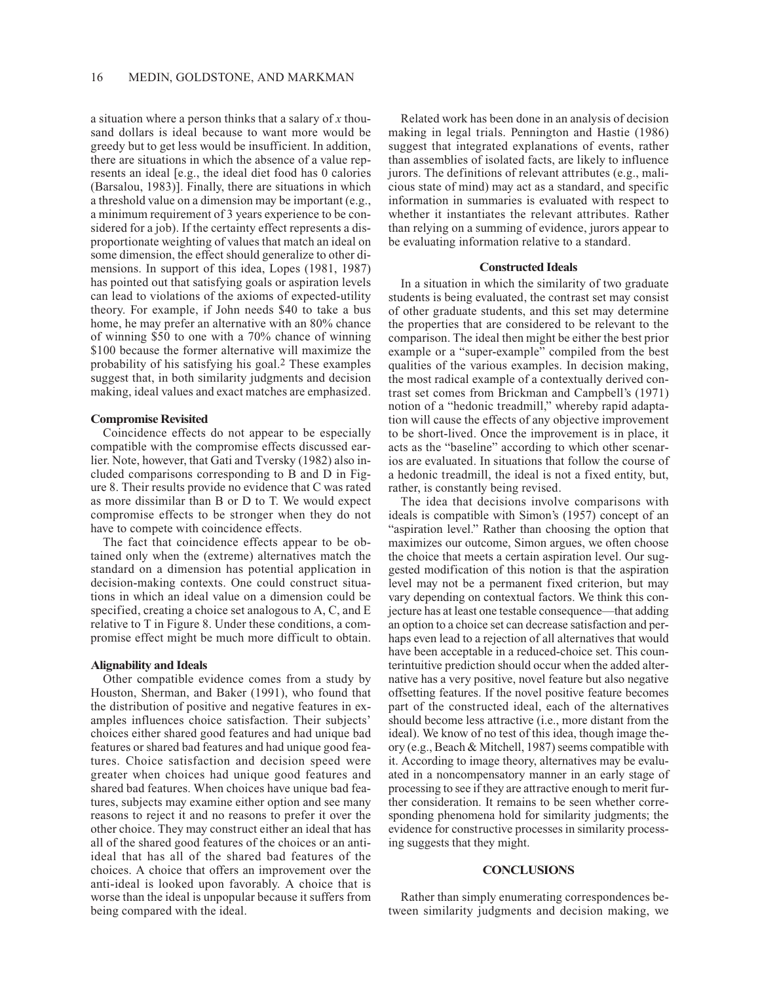## 16 MEDIN, GOLDSTONE, AND MARKMAN

a situation where a person thinks that a salary of *x* thousand dollars is ideal because to want more would be greedy but to get less would be insufficient. In addition, there are situations in which the absence of a value represents an ideal [e.g., the ideal diet food has 0 calories (Barsalou, 1983)]. Finally, there are situations in which a threshold value on a dimension may be important (e.g., a minimum requirement of 3 years experience to be considered for a job). If the certainty effect represents a disproportionate weighting of values that match an ideal on some dimension, the effect should generalize to other dimensions. In support of this idea, Lopes (1981, 1987) has pointed out that satisfying goals or aspiration levels can lead to violations of the axioms of expected-utility theory. For example, if John needs \$40 to take a bus home, he may prefer an alternative with an 80% chance of winning \$50 to one with a 70% chance of winning \$100 because the former alternative will maximize the probability of his satisfying his goal.2 These examples suggest that, in both similarity judgments and decision making, ideal values and exact matches are emphasized.

### **Compromise Revisited**

Coincidence effects do not appear to be especially compatible with the compromise effects discussed earlier. Note, however, that Gati and Tversky (1982) also included comparisons corresponding to B and D in Figure 8. Their results provide no evidence that C was rated as more dissimilar than B or D to T. We would expect compromise effects to be stronger when they do not have to compete with coincidence effects.

The fact that coincidence effects appear to be obtained only when the (extreme) alternatives match the standard on a dimension has potential application in decision-making contexts. One could construct situations in which an ideal value on a dimension could be specified, creating a choice set analogous to A, C, and E relative to T in Figure 8. Under these conditions, a compromise effect might be much more difficult to obtain.

#### **Alignability and Ideals**

Other compatible evidence comes from a study by Houston, Sherman, and Baker (1991), who found that the distribution of positive and negative features in examples influences choice satisfaction. Their subjects' choices either shared good features and had unique bad features or shared bad features and had unique good features. Choice satisfaction and decision speed were greater when choices had unique good features and shared bad features. When choices have unique bad features, subjects may examine either option and see many reasons to reject it and no reasons to prefer it over the other choice. They may construct either an ideal that has all of the shared good features of the choices or an antiideal that has all of the shared bad features of the choices. A choice that offers an improvement over the anti-ideal is looked upon favorably. A choice that is worse than the ideal is unpopular because it suffers from being compared with the ideal.

Related work has been done in an analysis of decision making in legal trials. Pennington and Hastie (1986) suggest that integrated explanations of events, rather than assemblies of isolated facts, are likely to influence jurors. The definitions of relevant attributes (e.g., malicious state of mind) may act as a standard, and specific information in summaries is evaluated with respect to whether it instantiates the relevant attributes. Rather than relying on a summing of evidence, jurors appear to be evaluating information relative to a standard.

## **Constructed Ideals**

In a situation in which the similarity of two graduate students is being evaluated, the contrast set may consist of other graduate students, and this set may determine the properties that are considered to be relevant to the comparison. The ideal then might be either the best prior example or a "super-example" compiled from the best qualities of the various examples. In decision making, the most radical example of a contextually derived contrast set comes from Brickman and Campbell's (1971) notion of a "hedonic treadmill," whereby rapid adaptation will cause the effects of any objective improvement to be short-lived. Once the improvement is in place, it acts as the "baseline" according to which other scenarios are evaluated. In situations that follow the course of a hedonic treadmill, the ideal is not a fixed entity, but, rather, is constantly being revised.

The idea that decisions involve comparisons with ideals is compatible with Simon's (1957) concept of an "aspiration level." Rather than choosing the option that maximizes our outcome, Simon argues, we often choose the choice that meets a certain aspiration level. Our suggested modification of this notion is that the aspiration level may not be a permanent fixed criterion, but may vary depending on contextual factors. We think this conjecture has at least one testable consequence—that adding an option to a choice set can decrease satisfaction and perhaps even lead to a rejection of all alternatives that would have been acceptable in a reduced-choice set. This counterintuitive prediction should occur when the added alternative has a very positive, novel feature but also negative offsetting features. If the novel positive feature becomes part of the constructed ideal, each of the alternatives should become less attractive (i.e., more distant from the ideal). We know of no test of this idea, though image theory (e.g., Beach & Mitchell, 1987) seems compatible with it. According to image theory, alternatives may be evaluated in a noncompensatory manner in an early stage of processing to see if they are attractive enough to merit further consideration. It remains to be seen whether corresponding phenomena hold for similarity judgments; the evidence for constructive processes in similarity processing suggests that they might.

#### **CONCLUSIONS**

Rather than simply enumerating correspondences between similarity judgments and decision making, we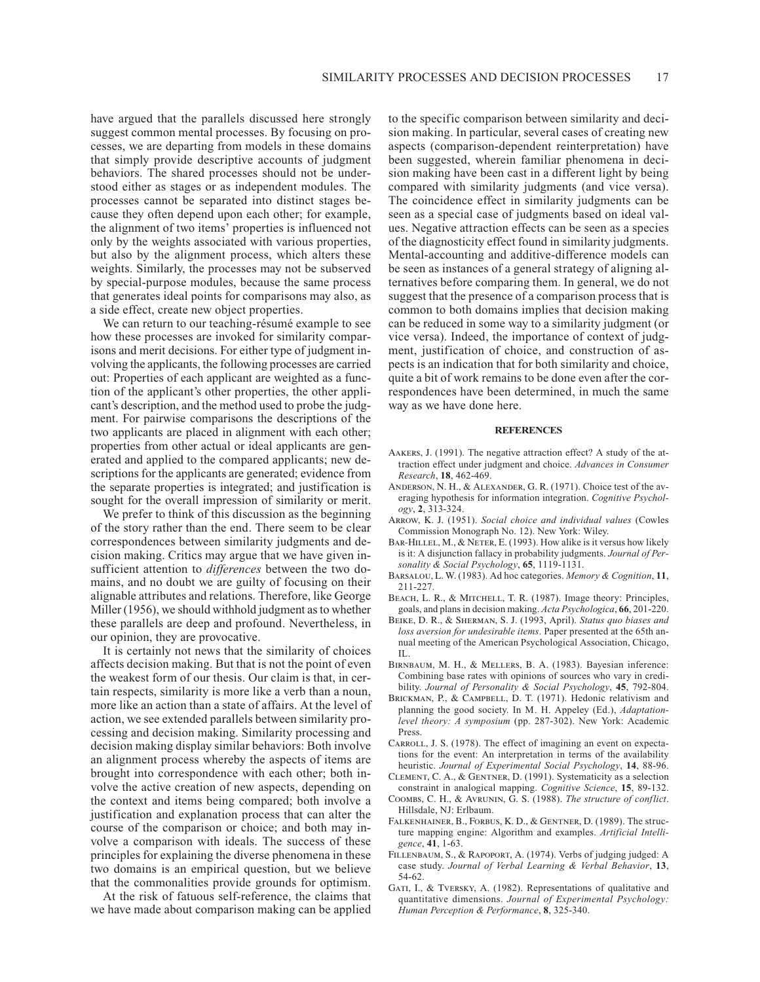have argued that the parallels discussed here strongly suggest common mental processes. By focusing on processes, we are departing from models in these domains that simply provide descriptive accounts of judgment behaviors. The shared processes should not be understood either as stages or as independent modules. The processes cannot be separated into distinct stages because they often depend upon each other; for example, the alignment of two items' properties is influenced not only by the weights associated with various properties, but also by the alignment process, which alters these weights. Similarly, the processes may not be subserved by special-purpose modules, because the same process that generates ideal points for comparisons may also, as a side effect, create new object properties.

We can return to our teaching-résumé example to see how these processes are invoked for similarity comparisons and merit decisions. For either type of judgment involving the applicants, the following processes are carried out: Properties of each applicant are weighted as a function of the applicant's other properties, the other applicant's description, and the method used to probe the judgment. For pairwise comparisons the descriptions of the two applicants are placed in alignment with each other; properties from other actual or ideal applicants are generated and applied to the compared applicants; new descriptions for the applicants are generated; evidence from the separate properties is integrated; and justification is sought for the overall impression of similarity or merit.

We prefer to think of this discussion as the beginning of the story rather than the end. There seem to be clear correspondences between similarity judgments and decision making. Critics may argue that we have given insufficient attention to *differences* between the two domains, and no doubt we are guilty of focusing on their alignable attributes and relations. Therefore, like George Miller (1956), we should withhold judgment as to whether these parallels are deep and profound. Nevertheless, in our opinion, they are provocative.

It is certainly not news that the similarity of choices affects decision making. But that is not the point of even the weakest form of our thesis. Our claim is that, in certain respects, similarity is more like a verb than a noun, more like an action than a state of affairs. At the level of action, we see extended parallels between similarity processing and decision making. Similarity processing and decision making display similar behaviors: Both involve an alignment process whereby the aspects of items are brought into correspondence with each other; both involve the active creation of new aspects, depending on the context and items being compared; both involve a justification and explanation process that can alter the course of the comparison or choice; and both may involve a comparison with ideals. The success of these principles for explaining the diverse phenomena in these two domains is an empirical question, but we believe that the commonalities provide grounds for optimism.

At the risk of fatuous self-reference, the claims that we have made about comparison making can be applied to the specific comparison between similarity and decision making. In particular, several cases of creating new aspects (comparison-dependent reinterpretation) have been suggested, wherein familiar phenomena in decision making have been cast in a different light by being compared with similarity judgments (and vice versa). The coincidence effect in similarity judgments can be seen as a special case of judgments based on ideal values. Negative attraction effects can be seen as a species of the diagnosticity effect found in similarity judgments. Mental-accounting and additive-difference models can be seen as instances of a general strategy of aligning alternatives before comparing them. In general, we do not suggest that the presence of a comparison process that is common to both domains implies that decision making can be reduced in some way to a similarity judgment (or vice versa). Indeed, the importance of context of judgment, justification of choice, and construction of aspects is an indication that for both similarity and choice, quite a bit of work remains to be done even after the correspondences have been determined, in much the same way as we have done here.

#### **REFERENCES**

- Aakers, J. (1991). The negative attraction effect? A study of the attraction effect under judgment and choice. *Advances in Consumer Research*, **18**, 462-469.
- Anderson, N. H., & Alexander, G. R. (1971). Choice test of the averaging hypothesis for information integration. *Cognitive Psychology*, **2**, 313-324.
- Arrow, K. J. (1951). *Social choice and individual values* (Cowles Commission Monograph No. 12). New York: Wiley.
- BAR-HILLEL, M., & NETER, E. (1993). How alike is it versus how likely is it: A disjunction fallacy in probability judgments. *Journal of Personality & Social Psychology*, **65**, 1119-1131.
- Barsalou, L. W. (1983). Ad hoc categories. *Memory & Cognition*, **11**, 211-227.
- BEACH, L. R., & MITCHELL, T. R. (1987). Image theory: Principles, goals, and plans in decision making. *Acta Psychologica*, **66**, 201-220.
- Beike, D. R., & Sherman, S. J. (1993, April). *Status quo biases and loss aversion for undesirable items*. Paper presented at the 65th annual meeting of the American Psychological Association, Chicago, IL.
- Birnbaum, M. H., & Mellers, B. A. (1983). Bayesian inference: Combining base rates with opinions of sources who vary in credibility. *Journal of Personality & Social Psychology*, **45**, 792-804.
- BRICKMAN, P., & CAMPBELL, D. T. (1971). Hedonic relativism and planning the good society. In M. H. Appeley (Ed.), *Adaptationlevel theory: A symposium* (pp. 287-302). New York: Academic Press.
- CARROLL, J. S. (1978). The effect of imagining an event on expectations for the event: An interpretation in terms of the availability heuristic. *Journal of Experimental Social Psychology*, **14**, 88-96.
- Clement, C. A., & Gentner, D. (1991). Systematicity as a selection constraint in analogical mapping. *Cognitive Science*, **15**, 89-132.
- Coombs, C. H., & Avrunin, G. S. (1988). *The structure of conflict*. Hillsdale, NJ: Erlbaum.
- Falkenhainer, B., Forbus, K. D., & Gentner, D. (1989). The structure mapping engine: Algorithm and examples. *Artificial Intelligence*, **41**, 1-63.
- Fillenbaum, S., & Rapoport, A. (1974). Verbs of judging judged: A case study. *Journal of Verbal Learning & Verbal Behavior*, **13**, 54-62.
- GATI, I., & TVERSKY, A. (1982). Representations of qualitative and quantitative dimensions. *Journal of Experimental Psychology: Human Perception & Performance*, **8**, 325-340.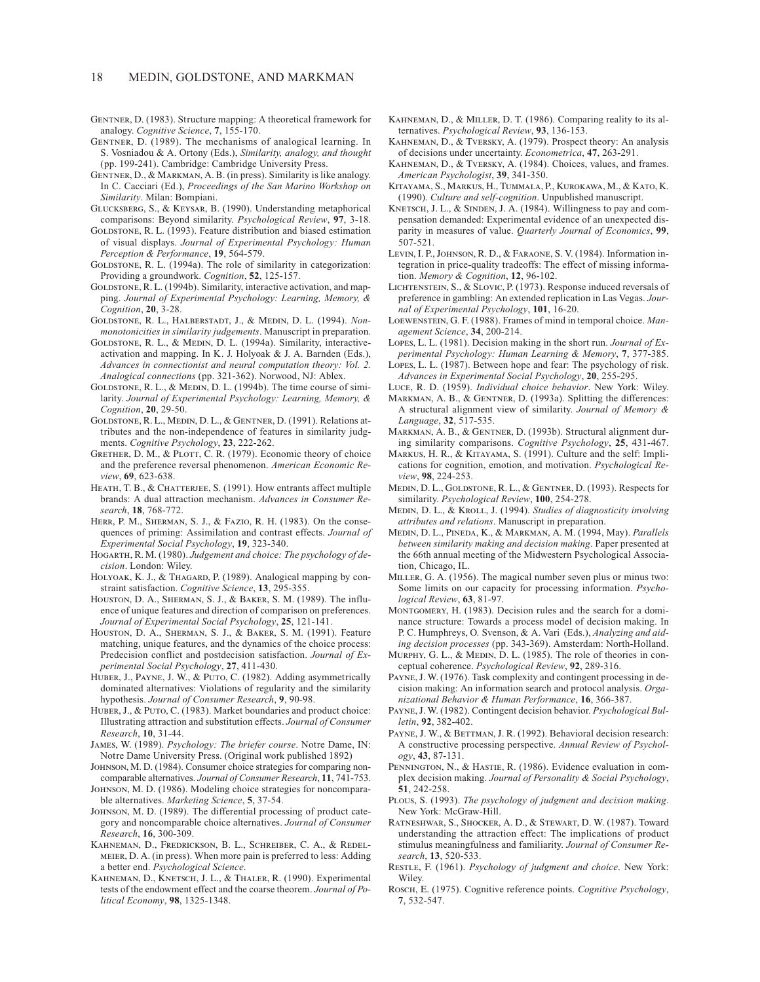- GENTNER, D. (1983). Structure mapping: A theoretical framework for analogy. *Cognitive Science*, **7**, 155-170.
- GENTNER, D. (1989). The mechanisms of analogical learning. In S. Vosniadou & A. Ortony (Eds.), *Similarity, analogy, and thought* (pp. 199-241). Cambridge: Cambridge University Press.
- Gentner, D., & Markman, A. B. (in press). Similarity is like analogy. In C. Cacciari (Ed.), *Proceedings of the San Marino Workshop on Similarity*. Milan: Bompiani.
- Glucksberg, S., & Keysar, B. (1990). Understanding metaphorical comparisons: Beyond similarity. *Psychological Review*, **97**, 3-18.
- GOLDSTONE, R. L. (1993). Feature distribution and biased estimation of visual displays. *Journal of Experimental Psychology: Human Perception & Performance*, **19**, 564-579.
- GOLDSTONE, R. L. (1994a). The role of similarity in categorization: Providing a groundwork. *Cognition*, **52**, 125-157.
- GOLDSTONE, R. L. (1994b). Similarity, interactive activation, and mapping. *Journal of Experimental Psychology: Learning, Memory, & Cognition*, **20**, 3-28.
- Goldstone, R. L., Halberstadt, J., & Medin, D. L. (1994). *Nonmonotonicities in similarity judgements*. Manuscript in preparation.
- GOLDSTONE, R. L., & MEDIN, D. L. (1994a). Similarity, interactiveactivation and mapping. In K. J. Holyoak & J. A. Barnden (Eds.), *Advances in connectionist and neural computation theory: Vol. 2. Analogical connections* (pp. 321-362). Norwood, NJ: Ablex.
- GOLDSTONE, R. L., & MEDIN, D. L. (1994b). The time course of similarity. *Journal of Experimental Psychology: Learning, Memory, & Cognition*, **20**, 29-50.
- Goldstone, R. L., Medin, D. L., & Gentner, D. (1991). Relations attributes and the non-independence of features in similarity judgments. *Cognitive Psychology*, **23**, 222-262.
- GRETHER, D. M., & PLOTT, C. R. (1979). Economic theory of choice and the preference reversal phenomenon. *American Economic Review*, **69**, 623-638.
- HEATH, T. B., & CHATTERJEE, S. (1991). How entrants affect multiple brands: A dual attraction mechanism. *Advances in Consumer Research*, **18**, 768-772.
- Herr, P. M., Sherman, S. J., & Fazio, R. H. (1983). On the consequences of priming: Assimilation and contrast effects. *Journal of Experimental Social Psychology*, **19**, 323-340.
- Hogarth, R. M. (1980). *Judgement and choice: The psychology of decision*. London: Wiley.
- HOLYOAK, K. J., & THAGARD, P. (1989). Analogical mapping by constraint satisfaction. *Cognitive Science*, **13**, 295-355.
- Houston, D. A., Sherman, S. J., & Baker, S. M. (1989). The influence of unique features and direction of comparison on preferences. *Journal of Experimental Social Psychology*, **25**, 121-141.
- Houston, D. A., Sherman, S. J., & Baker, S. M. (1991). Feature matching, unique features, and the dynamics of the choice process: Predecision conflict and postdecision satisfaction. *Journal of Experimental Social Psychology*, **27**, 411-430.
- Huber, J., Payne, J. W., & Puto, C. (1982). Adding asymmetrically dominated alternatives: Violations of regularity and the similarity hypothesis. *Journal of Consumer Research*, **9**, 90-98.
- HUBER, J., & PUTO, C. (1983). Market boundaries and product choice: Illustrating attraction and substitution effects. *Journal of Consumer Research*, **10**, 31-44.
- James, W. (1989). *Psychology: The briefer course*. Notre Dame, IN: Notre Dame University Press. (Original work published 1892)
- Johnson, M. D. (1984). Consumer choice strategies for comparing noncomparable alternatives. *Journal of Consumer Research*, **11**, 741-753.
- Johnson, M. D. (1986). Modeling choice strategies for noncomparable alternatives. *Marketing Science*, **5**, 37-54.
- Johnson, M. D. (1989). The differential processing of product category and noncomparable choice alternatives. *Journal of Consumer Research*, **16**, 300-309.
- Kahneman, D., Fredrickson, B. L., Schreiber, C. A., & Redelmeier, D. A. (in press). When more pain is preferred to less: Adding a better end. *Psychological Science*.
- Kahneman, D., Knetsch, J. L., & Thaler, R. (1990). Experimental tests of the endowment effect and the coarse theorem. *Journal of Political Economy*, **98**, 1325-1348.
- Kahneman, D., & Miller, D. T. (1986). Comparing reality to its alternatives. *Psychological Review*, **93**, 136-153.
- Kahneman, D., & Tversky, A. (1979). Prospect theory: An analysis of decisions under uncertainty. *Econometrica*, **47**, 263-291.
- KAHNEMAN, D., & TVERSKY, A. (1984). Choices, values, and frames. *American Psychologist*, **39**, 341-350.
- Kitayama, S., Markus, H., Tummala, P., Kurokawa, M., & Kato, K. (1990). *Culture and self-cognition*. Unpublished manuscript.
- KNETSCH, J. L., & SINDEN, J. A. (1984). Willingness to pay and compensation demanded: Experimental evidence of an unexpected disparity in measures of value. *Quarterly Journal of Economics*, **99**, 507-521.
- Levin, I. P., Johnson, R. D., & Faraone, S. V. (1984). Information integration in price-quality tradeoffs: The effect of missing information. *Memory & Cognition*, **12**, 96-102.
- Lichtenstein, S., & Slovic, P. (1973). Response induced reversals of preference in gambling: An extended replication in Las Vegas. *Journal of Experimental Psychology*, **101**, 16-20.
- Loewenstein, G. F. (1988). Frames of mind in temporal choice. *Management Science*, **34**, 200-214.
- Lopes, L. L. (1981). Decision making in the short run. *Journal of Experimental Psychology: Human Learning & Memory*, **7**, 377-385.
- Lopes, L. L. (1987). Between hope and fear: The psychology of risk. *Advances in Experimental Social Psychology*, **20**, 255-295.
- Luce, R. D. (1959). *Individual choice behavior*. New York: Wiley.
- MARKMAN, A. B., & GENTNER, D. (1993a). Splitting the differences: A structural alignment view of similarity. *Journal of Memory & Language*, **32**, 517-535.
- MARKMAN, A. B., & GENTNER, D. (1993b). Structural alignment during similarity comparisons. *Cognitive Psychology*, **25**, 431-467.
- Markus, H. R., & Kitayama, S. (1991). Culture and the self: Implications for cognition, emotion, and motivation. *Psychological Review*, **98**, 224-253.
- Medin, D. L., Goldstone, R. L., & Gentner, D. (1993). Respects for similarity. *Psychological Review*, **100**, 254-278.
- Medin, D. L., & Kroll, J. (1994). *Studies of diagnosticity involving attributes and relations*. Manuscript in preparation.
- Medin, D. L., Pineda, K., & Markman, A. M. (1994, May). *Parallels between similarity making and decision making*. Paper presented at the 66th annual meeting of the Midwestern Psychological Association, Chicago, IL.
- MILLER, G. A. (1956). The magical number seven plus or minus two: Some limits on our capacity for processing information. *Psychological Review*, **63**, 81-97.
- MONTGOMERY, H. (1983). Decision rules and the search for a dominance structure: Towards a process model of decision making. In P. C. Humphreys, O. Svenson, & A. Vari (Eds.), *Analyzing and aiding decision processes* (pp. 343-369). Amsterdam: North-Holland.
- MURPHY, G. L., & MEDIN, D. L. (1985). The role of theories in conceptual coherence. *Psychological Review*, **92**, 289-316.
- Payne, J. W. (1976). Task complexity and contingent processing in decision making: An information search and protocol analysis. *Organizational Behavior & Human Performance*, **16**, 366-387.
- Payne, J. W. (1982). Contingent decision behavior. *Psychological Bulletin*, **92**, 382-402.
- PAYNE, J. W., & BETTMAN, J. R. (1992). Behavioral decision research: A constructive processing perspective. *Annual Review of Psychology*, **43**, 87-131.
- PENNINGTON, N., & HASTIE, R. (1986). Evidence evaluation in complex decision making. *Journal of Personality & Social Psychology*, **51**, 242-258.
- Plous, S. (1993). *The psychology of judgment and decision making*. New York: McGraw-Hill.
- Ratneshwar, S., Shocker, A. D., & Stewart, D. W. (1987). Toward understanding the attraction effect: The implications of product stimulus meaningfulness and familiarity. *Journal of Consumer Research*, **13**, 520-533.
- Restle, F. (1961). *Psychology of judgment and choice*. New York: Wiley.
- Rosch, E. (1975). Cognitive reference points. *Cognitive Psychology*, **7**, 532-547.